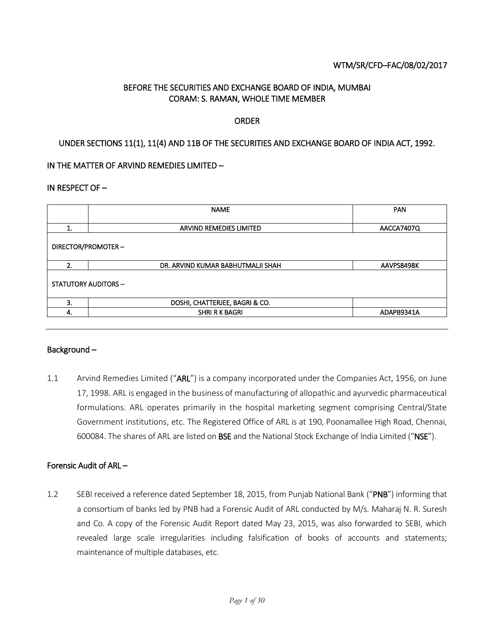### WTM/SR/CFD–FAC/08/02/2017

## BEFORE THE SECURITIES AND EXCHANGE BOARD OF INDIA, MUMBAI CORAM: S. RAMAN, WHOLE TIME MEMBER

#### ORDER

### UNDER SECTIONS 11(1), 11(4) AND 11B OF THE SECURITIES AND EXCHANGE BOARD OF INDIA ACT, 1992.

### IN THE MATTER OF ARVIND REMEDIES LIMITED –

#### IN RESPECT OF –

|                            | <b>NAME</b>                           | <b>PAN</b> |  |  |  |  |
|----------------------------|---------------------------------------|------------|--|--|--|--|
| 1.                         | ARVIND REMEDIES LIMITED<br>AACCA7407Q |            |  |  |  |  |
| DIRECTOR/PROMOTER-         |                                       |            |  |  |  |  |
| 2.                         | DR. ARVIND KUMAR BABHUTMALJI SHAH     | AAVPS8498K |  |  |  |  |
| <b>STATUTORY AUDITORS-</b> |                                       |            |  |  |  |  |
|                            |                                       |            |  |  |  |  |
| 3.                         | DOSHI, CHATTERJEE, BAGRI & CO.        |            |  |  |  |  |

### Background –

1.1 Arvind Remedies Limited ("ARL") is a company incorporated under the Companies Act, 1956, on June 17, 1998. ARL is engaged in the business of manufacturing of allopathic and ayurvedic pharmaceutical formulations. ARL operates primarily in the hospital marketing segment comprising Central/State Government institutions, etc. The Registered Office of ARL is at 190, Poonamallee High Road, Chennai, 600084. The shares of ARL are listed on BSE and the National Stock Exchange of India Limited ("NSE").

#### Forensic Audit of ARL –

1.2 SEBI received a reference dated September 18, 2015, from Punjab National Bank ("PNB") informing that a consortium of banks led by PNB had a Forensic Audit of ARL conducted by M/s. Maharaj N. R. Suresh and Co. A copy of the Forensic Audit Report dated May 23, 2015, was also forwarded to SEBI, which revealed large scale irregularities including falsification of books of accounts and statements; maintenance of multiple databases, etc.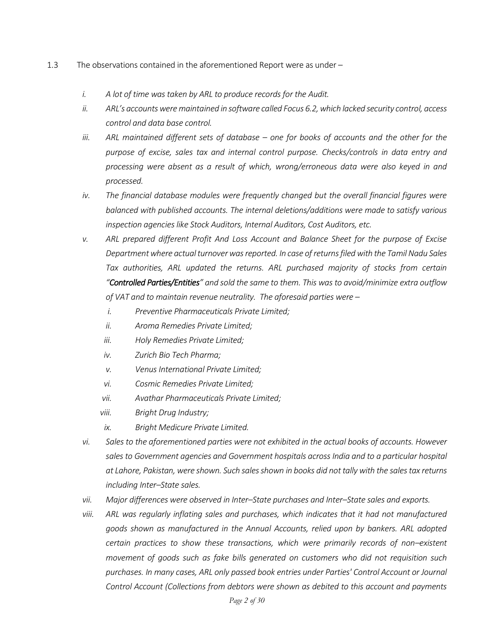- 1.3 The observations contained in the aforementioned Report were as under
	- *i. A lot of time was taken by ARL to produce records for the Audit.*
	- *ii. ARL's accounts were maintained in software called Focus 6.2, which lacked security control, access control and data base control.*
	- *iii.* ARL maintained different sets of database one for books of accounts and the other for the *purpose of excise, sales tax and internal control purpose. Checks/controls in data entry and processing were absent as a result of which, wrong/erroneous data were also keyed in and processed.*
	- *iv. The financial database modules were frequently changed but the overall financial figures were balanced with published accounts. The internal deletions/additions were made to satisfy various inspection agencies like Stock Auditors, Internal Auditors, Cost Auditors, etc.*
	- *v. ARL prepared different Profit And Loss Account and Balance Sheet for the purpose of Excise Department where actual turnover was reported. In case of returns filed with the Tamil Nadu Sales Tax authorities, ARL updated the returns. ARL purchased majority of stocks from certain "Controlled Parties/Entities" and sold the same to them. This was to avoid/minimize extra outflow of VAT and to maintain revenue neutrality. The aforesaid parties were –*
		- *i. Preventive Pharmaceuticals Private Limited;*
		- *ii. Aroma Remedies Private Limited;*
		- *iii. Holy Remedies Private Limited;*
		- *iv. Zurich Bio Tech Pharma;*
		- *v. Venus International Private Limited;*
		- *vi. Cosmic Remedies Private Limited;*
		- *vii. Avathar Pharmaceuticals Private Limited;*
		- *viii. Bright Drug Industry;*
		- *ix. Bright Medicure Private Limited.*
	- *vi. Sales to the aforementioned parties were not exhibited in the actual books of accounts. However sales to Government agencies and Government hospitals across India and to a particular hospital at Lahore, Pakistan, were shown. Such sales shown in books did not tally with the sales tax returns including Inter–State sales.*
	- *vii. Major differences were observed in Inter–State purchases and Inter–State sales and exports.*
	- *viii. ARL was regularly inflating sales and purchases, which indicates that it had not manufactured goods shown as manufactured in the Annual Accounts, relied upon by bankers. ARL adopted certain practices to show these transactions, which were primarily records of non–existent movement of goods such as fake bills generated on customers who did not requisition such purchases. In many cases, ARL only passed book entries under Parties' Control Account or Journal Control Account (Collections from debtors were shown as debited to this account and payments*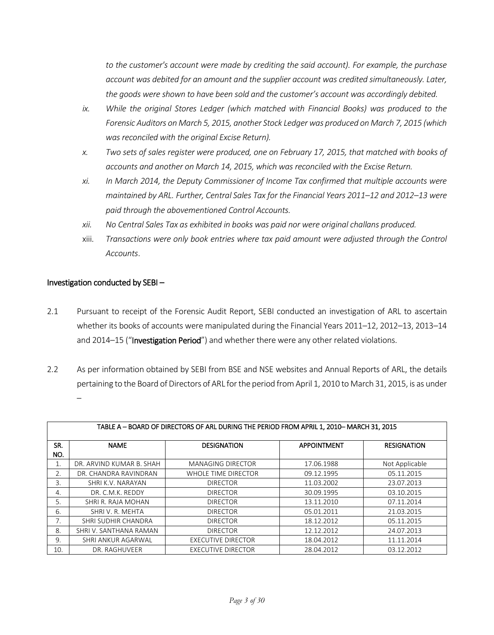*to the customer's account were made by crediting the said account). For example, the purchase account was debited for an amount and the supplier account was credited simultaneously. Later, the goods were shown to have been sold and the customer's account was accordingly debited.* 

- *ix. While the original Stores Ledger (which matched with Financial Books) was produced to the Forensic Auditors on March 5, 2015, another Stock Ledger was produced on March 7, 2015 (which was reconciled with the original Excise Return).*
- *x. Two sets of sales register were produced, one on February 17, 2015, that matched with books of accounts and another on March 14, 2015, which was reconciled with the Excise Return.*
- *xi. In March 2014, the Deputy Commissioner of Income Tax confirmed that multiple accounts were maintained by ARL. Further, Central Sales Tax for the Financial Years 2011–12 and 2012–13 were paid through the abovementioned Control Accounts.*
- *xii. No Central Sales Tax as exhibited in books was paid nor were original challans produced.*
- xiii. *Transactions were only book entries where tax paid amount were adjusted through the Control Accounts*.

### Investigation conducted by SEBI –

- 2.1 Pursuant to receipt of the Forensic Audit Report, SEBI conducted an investigation of ARL to ascertain whether its books of accounts were manipulated during the Financial Years 2011–12, 2012–13, 2013–14 and 2014–15 ("Investigation Period") and whether there were any other related violations.
- 2.2 As per information obtained by SEBI from BSE and NSE websites and Annual Reports of ARL, the details pertaining to the Board of Directors of ARL for the period from April 1, 2010 to March 31, 2015, is as under –

|            | TABLE A - BOARD OF DIRECTORS OF ARL DURING THE PERIOD FROM APRIL 1, 2010- MARCH 31, 2015 |                           |                    |                    |  |  |  |  |
|------------|------------------------------------------------------------------------------------------|---------------------------|--------------------|--------------------|--|--|--|--|
| SR.<br>NO. | <b>NAME</b>                                                                              | <b>DESIGNATION</b>        | <b>APPOINTMENT</b> | <b>RESIGNATION</b> |  |  |  |  |
| 1.         | DR. ARVIND KUMAR B. SHAH                                                                 | <b>MANAGING DIRECTOR</b>  | 17.06.1988         | Not Applicable     |  |  |  |  |
| 2.         | DR. CHANDRA RAVINDRAN                                                                    | WHOLE TIME DIRECTOR       | 09.12.1995         | 05.11.2015         |  |  |  |  |
| 3.         | SHRI K.V. NARAYAN                                                                        | <b>DIRECTOR</b>           | 11.03.2002         | 23.07.2013         |  |  |  |  |
| 4.         | DR. C.M.K. REDDY                                                                         | <b>DIRECTOR</b>           | 30.09.1995         | 03.10.2015         |  |  |  |  |
| 5.         | SHRI R. RAJA MOHAN                                                                       | <b>DIRECTOR</b>           | 13.11.2010         | 07.11.2014         |  |  |  |  |
| 6.         | SHRIV. R. MEHTA                                                                          | <b>DIRECTOR</b>           | 05.01.2011         | 21.03.2015         |  |  |  |  |
| 7.         | SHRI SUDHIR CHANDRA                                                                      | <b>DIRECTOR</b>           | 18.12.2012         | 05.11.2015         |  |  |  |  |
| 8.         | SHRI V. SANTHANA RAMAN                                                                   | <b>DIRECTOR</b>           | 12.12.2012         | 24.07.2013         |  |  |  |  |
| 9.         | SHRI ANKUR AGARWAL                                                                       | <b>EXECUTIVE DIRECTOR</b> | 18.04.2012         | 11.11.2014         |  |  |  |  |
| 10.        | DR. RAGHUVEER                                                                            | <b>EXECUTIVE DIRECTOR</b> | 28.04.2012         | 03.12.2012         |  |  |  |  |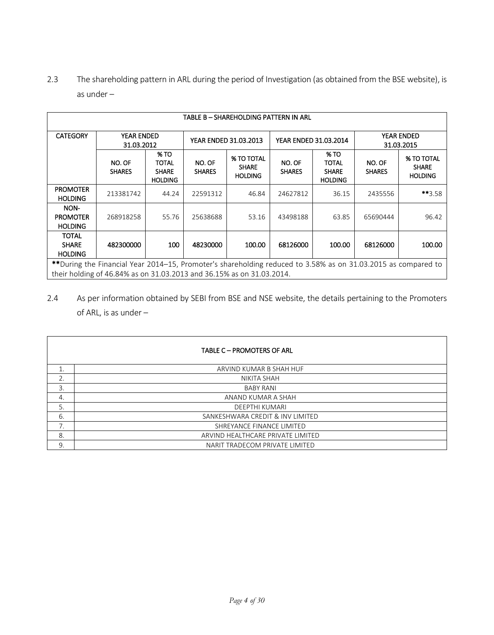2.3 The shareholding pattern in ARL during the period of Investigation (as obtained from the BSE website), is as under –

| TABLE B – SHAREHOLDING PATTERN IN ARL                                                                                                |                                                                                                                                                                                        |                                                        |                                 |                                                     |                         |                                                               |                         |                                                     |  |
|--------------------------------------------------------------------------------------------------------------------------------------|----------------------------------------------------------------------------------------------------------------------------------------------------------------------------------------|--------------------------------------------------------|---------------------------------|-----------------------------------------------------|-------------------------|---------------------------------------------------------------|-------------------------|-----------------------------------------------------|--|
| <b>CATEGORY</b>                                                                                                                      | <b>YEAR ENDED</b><br>YEAR ENDED 31.03.2013<br>YEAR ENDED 31.03.2014<br>31.03.2012                                                                                                      |                                                        | <b>YEAR ENDED</b><br>31.03.2015 |                                                     |                         |                                                               |                         |                                                     |  |
|                                                                                                                                      | NO. OF<br><b>SHARES</b>                                                                                                                                                                | % TO<br><b>TOTAL</b><br><b>SHARE</b><br><b>HOLDING</b> | NO. OF<br><b>SHARES</b>         | <b>% TO TOTAL</b><br><b>SHARE</b><br><b>HOLDING</b> | NO. OF<br><b>SHARES</b> | <b>% TO</b><br><b>TOTAL</b><br><b>SHARE</b><br><b>HOLDING</b> | NO. OF<br><b>SHARES</b> | <b>% TO TOTAL</b><br><b>SHARE</b><br><b>HOLDING</b> |  |
| <b>PROMOTER</b><br><b>HOLDING</b>                                                                                                    | 213381742                                                                                                                                                                              | 44.24                                                  | 22591312                        | 46.84                                               | 24627812                | 36.15                                                         | 2435556                 | **3.58                                              |  |
| NON-<br><b>PROMOTER</b><br><b>HOLDING</b>                                                                                            | 268918258                                                                                                                                                                              | 55.76                                                  | 25638688                        | 53.16                                               | 43498188                | 63.85                                                         | 65690444                | 96.42                                               |  |
| <b>TOTAL</b><br>100<br>100.00<br>68126000<br>100.00<br>68126000<br>100.00<br><b>SHARE</b><br>482300000<br>48230000<br><b>HOLDING</b> |                                                                                                                                                                                        |                                                        |                                 |                                                     |                         |                                                               |                         |                                                     |  |
|                                                                                                                                      | **During the Financial Year 2014-15, Promoter's shareholding reduced to 3.58% as on 31.03.2015 as compared to<br>their holding of 46.84% as on 31.03.2013 and 36.15% as on 31.03.2014. |                                                        |                                 |                                                     |                         |                                                               |                         |                                                     |  |

2.4 As per information obtained by SEBI from BSE and NSE website, the details pertaining to the Promoters of ARL, is as under –

|     | <b>TABLE C - PROMOTERS OF ARL</b> |
|-----|-----------------------------------|
| 1.  | ARVIND KUMAR B SHAH HUF           |
| 2.  | NIKITA SHAH                       |
| 3.  | <b>BABY RANI</b>                  |
| 4.  | ANAND KUMAR A SHAH                |
| 5.  | <b>DEEPTHI KUMARI</b>             |
| -6. | SANKESHWARA CREDIT & INV LIMITED  |
| 7.  | SHREYANCE FINANCE LIMITED         |
| 8.  | ARVIND HEALTHCARE PRIVATE LIMITED |
| 9.  | NARIT TRADECOM PRIVATE LIMITED    |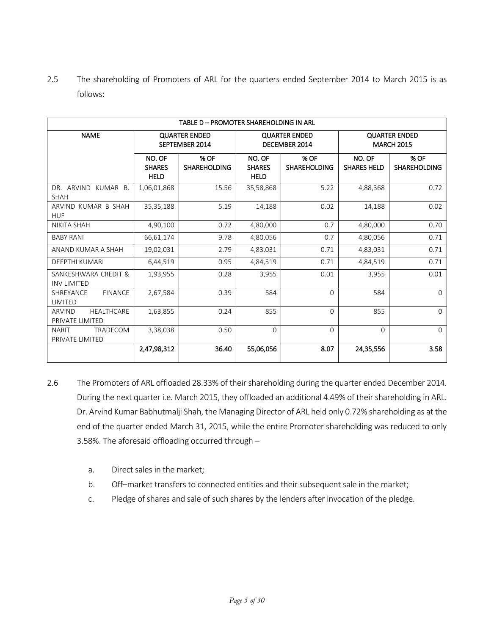2.5 The shareholding of Promoters of ARL for the quarters ended September 2014 to March 2015 is as follows:

|                                                | TABLE D - PROMOTER SHAREHOLDING IN ARL |                                        |                                        |                             |                                           |                             |  |  |
|------------------------------------------------|----------------------------------------|----------------------------------------|----------------------------------------|-----------------------------|-------------------------------------------|-----------------------------|--|--|
| <b>NAME</b>                                    |                                        | <b>QUARTER ENDED</b><br>SEPTEMBER 2014 | <b>QUARTER ENDED</b><br>DECEMBER 2014  |                             | <b>QUARTER ENDED</b><br><b>MARCH 2015</b> |                             |  |  |
|                                                | NO. OF<br><b>SHARES</b><br><b>HELD</b> | % OF<br><b>SHAREHOLDING</b>            | NO. OF<br><b>SHARES</b><br><b>HELD</b> | % OF<br><b>SHAREHOLDING</b> | NO. OF<br><b>SHARES HELD</b>              | % OF<br><b>SHAREHOLDING</b> |  |  |
| DR. ARVIND KUMAR B.<br><b>SHAH</b>             | 1,06,01,868                            | 15.56                                  | 35,58,868                              | 5.22                        | 4,88,368                                  | 0.72                        |  |  |
| ARVIND KUMAR B SHAH<br><b>HUF</b>              | 35,35,188                              | 5.19                                   | 14,188                                 | 0.02                        | 14,188                                    | 0.02                        |  |  |
| <b>NIKITA SHAH</b>                             | 4,90,100                               | 0.72                                   | 4,80,000                               | 0.7                         | 4,80,000                                  | 0.70                        |  |  |
| <b>BABY RANI</b>                               | 66,61,174                              | 9.78                                   | 4,80,056                               | 0.7                         | 4,80,056                                  | 0.71                        |  |  |
| ANAND KUMAR A SHAH                             | 19,02,031                              | 2.79                                   | 4,83,031                               | 0.71                        | 4,83,031                                  | 0.71                        |  |  |
| <b>DEEPTHI KUMARI</b>                          | 6,44,519                               | 0.95                                   | 4,84,519                               | 0.71                        | 4,84,519                                  | 0.71                        |  |  |
| SANKESHWARA CREDIT &<br><b>INV LIMITED</b>     | 1,93,955                               | 0.28                                   | 3,955                                  | 0.01                        | 3,955                                     | 0.01                        |  |  |
| <b>FINANCE</b><br>SHREYANCE<br><b>LIMITED</b>  | 2,67,584                               | 0.39                                   | 584                                    | $\Omega$                    | 584                                       | $\Omega$                    |  |  |
| <b>ARVIND</b><br>HEALTHCARE<br>PRIVATE LIMITED | 1,63,855                               | 0.24                                   | 855                                    | $\Omega$                    | 855                                       | $\Omega$                    |  |  |
| <b>NARIT</b><br>TRADECOM<br>PRIVATE LIMITED    | 3,38,038                               | 0.50                                   | $\Omega$                               | $\Omega$                    | $\Omega$                                  | $\Omega$                    |  |  |
|                                                | 2,47,98,312                            | 36.40                                  | 55,06,056                              | 8.07                        | 24,35,556                                 | 3.58                        |  |  |

- 2.6 The Promoters of ARL offloaded 28.33% of their shareholding during the quarter ended December 2014. During the next quarter i.e. March 2015, they offloaded an additional 4.49% of their shareholding in ARL. Dr. Arvind Kumar Babhutmalji Shah, the Managing Director of ARL held only 0.72% shareholding as at the end of the quarter ended March 31, 2015, while the entire Promoter shareholding was reduced to only 3.58%. The aforesaid offloading occurred through –
	- a. Direct sales in the market;
	- b. Off–market transfers to connected entities and their subsequent sale in the market;
	- c. Pledge of shares and sale of such shares by the lenders after invocation of the pledge.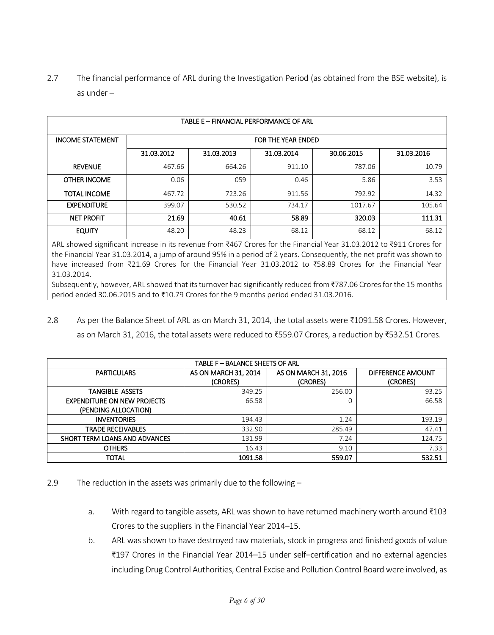2.7 The financial performance of ARL during the Investigation Period (as obtained from the BSE website), is as under –

| TABLE E - FINANCIAL PERFORMANCE OF ARL                                                                                                                                                                                                                                                                                                                                      |                                                                                          |        |        |         |        |  |  |
|-----------------------------------------------------------------------------------------------------------------------------------------------------------------------------------------------------------------------------------------------------------------------------------------------------------------------------------------------------------------------------|------------------------------------------------------------------------------------------|--------|--------|---------|--------|--|--|
| <b>INCOME STATEMENT</b>                                                                                                                                                                                                                                                                                                                                                     | FOR THE YEAR ENDED<br>31.03.2012<br>31.03.2016<br>31.03.2013<br>31.03.2014<br>30.06.2015 |        |        |         |        |  |  |
|                                                                                                                                                                                                                                                                                                                                                                             |                                                                                          |        |        |         |        |  |  |
| <b>REVENUE</b>                                                                                                                                                                                                                                                                                                                                                              | 467.66                                                                                   | 664.26 | 911.10 | 787.06  | 10.79  |  |  |
| <b>OTHER INCOME</b>                                                                                                                                                                                                                                                                                                                                                         | 0.06                                                                                     | 059    | 0.46   | 5.86    | 3.53   |  |  |
| <b>TOTAL INCOME</b>                                                                                                                                                                                                                                                                                                                                                         | 467.72                                                                                   | 723.26 | 911.56 | 792.92  | 14.32  |  |  |
| <b>EXPENDITURE</b>                                                                                                                                                                                                                                                                                                                                                          | 399.07                                                                                   | 530.52 | 734.17 | 1017.67 | 105.64 |  |  |
| <b>NET PROFIT</b>                                                                                                                                                                                                                                                                                                                                                           | 21.69                                                                                    | 40.61  | 58.89  | 320.03  | 111.31 |  |  |
| <b>EQUITY</b>                                                                                                                                                                                                                                                                                                                                                               | 48.20                                                                                    | 48.23  | 68.12  | 68.12   | 68.12  |  |  |
| ARL showed significant increase in its revenue from ₹467 Crores for the Financial Year 31.03.2012 to ₹911 Crores for<br>the Financial Year 31.03.2014, a jump of around 95% in a period of 2 years. Consequently, the net profit was shown to<br>have increased from ₹21.69 Crores for the Financial Year 31.03.2012 to ₹58.89 Crores for the Financial Year<br>31.03.2014. |                                                                                          |        |        |         |        |  |  |

Subsequently, however, ARL showed that its turnover had significantly reduced from ₹787.06 Crores for the 15 months period ended 30.06.2015 and to ₹10.79 Crores for the 9 months period ended 31.03.2016.

2.8 As per the Balance Sheet of ARL as on March 31, 2014, the total assets were ₹1091.58 Crores. However, as on March 31, 2016, the total assets were reduced to ₹559.07 Crores, a reduction by ₹532.51 Crores.

| TABLE F - BALANCE SHEETS OF ARL                            |                                  |                                  |                               |  |  |  |
|------------------------------------------------------------|----------------------------------|----------------------------------|-------------------------------|--|--|--|
| <b>PARTICULARS</b>                                         | AS ON MARCH 31, 2014<br>(CRORES) | AS ON MARCH 31, 2016<br>(CRORES) | DIFFERENCE AMOUNT<br>(CRORES) |  |  |  |
| TANGIBLE ASSETS                                            | 349.25                           | 256.00                           | 93.25                         |  |  |  |
| <b>EXPENDITURE ON NEW PROJECTS</b><br>(PENDING ALLOCATION) | 66.58                            | 0                                | 66.58                         |  |  |  |
| <b>INVENTORIES</b>                                         | 194.43                           | 1.24                             | 193.19                        |  |  |  |
| <b>TRADE RECEIVABLES</b>                                   | 332.90                           | 285.49                           | 47.41                         |  |  |  |
| SHORT TERM LOANS AND ADVANCES                              | 131.99                           | 7.24                             | 124.75                        |  |  |  |
| <b>OTHERS</b>                                              | 16.43                            | 9.10                             | 7.33                          |  |  |  |
| TOTAL                                                      | 1091.58                          | 559.07                           | 532.51                        |  |  |  |

- 2.9 The reduction in the assets was primarily due to the following
	- a. With regard to tangible assets, ARL was shown to have returned machinery worth around ₹103 Crores to the suppliers in the Financial Year 2014–15.
	- b. ARL was shown to have destroyed raw materials, stock in progress and finished goods of value ₹197 Crores in the Financial Year 2014–15 under self–certification and no external agencies including Drug Control Authorities, Central Excise and Pollution Control Board were involved, as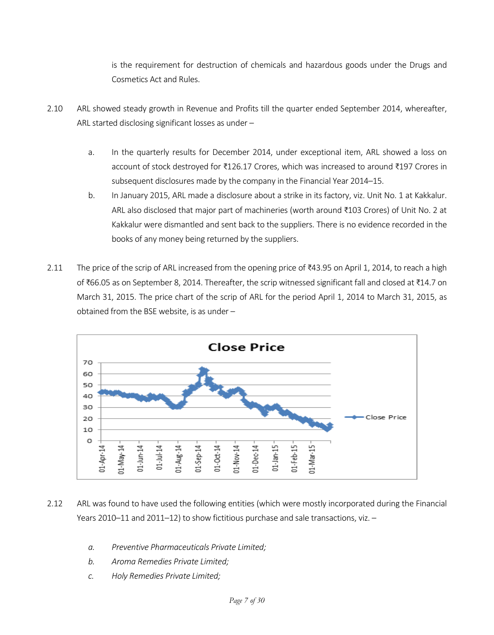is the requirement for destruction of chemicals and hazardous goods under the Drugs and Cosmetics Act and Rules.

- 2.10 ARL showed steady growth in Revenue and Profits till the quarter ended September 2014, whereafter, ARL started disclosing significant losses as under –
	- a. In the quarterly results for December 2014, under exceptional item, ARL showed a loss on account of stock destroyed for ₹126.17 Crores, which was increased to around ₹197 Crores in subsequent disclosures made by the company in the Financial Year 2014–15.
	- b. In January 2015, ARL made a disclosure about a strike in its factory, viz. Unit No. 1 at Kakkalur. ARL also disclosed that major part of machineries (worth around ₹103 Crores) of Unit No. 2 at Kakkalur were dismantled and sent back to the suppliers. There is no evidence recorded in the books of any money being returned by the suppliers.
- 2.11 The price of the scrip of ARL increased from the opening price of ₹43.95 on April 1, 2014, to reach a high of ₹66.05 as on September 8, 2014. Thereafter, the scrip witnessed significant fall and closed at ₹14.7 on March 31, 2015. The price chart of the scrip of ARL for the period April 1, 2014 to March 31, 2015, as obtained from the BSE website, is as under –



- 2.12 ARL was found to have used the following entities (which were mostly incorporated during the Financial Years 2010–11 and 2011–12) to show fictitious purchase and sale transactions, viz. –
	- *a. Preventive Pharmaceuticals Private Limited;*
	- *b. Aroma Remedies Private Limited;*
	- *c. Holy Remedies Private Limited;*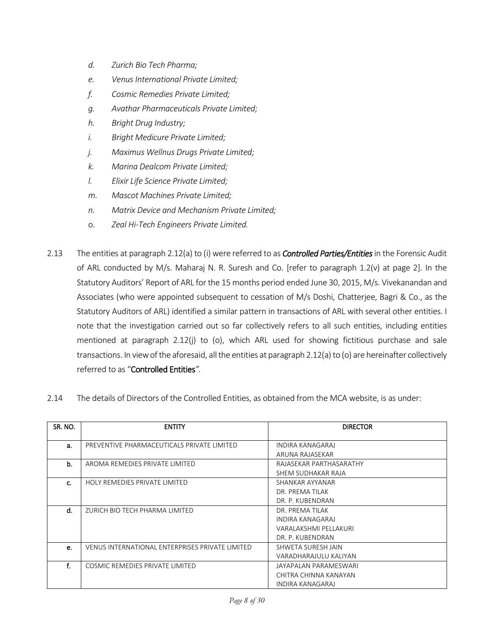- *d. Zurich Bio Tech Pharma;*
- *e. Venus International Private Limited;*
- *f. Cosmic Remedies Private Limited;*
- *g. Avathar Pharmaceuticals Private Limited;*
- *h. Bright Drug Industry;*
- *i. Bright Medicure Private Limited;*
- *j. Maximus Wellnus Drugs Private Limited;*
- *k. Marina Dealcom Private Limited;*
- *l. Elixir Life Science Private Limited;*
- *m. Mascot Machines Private Limited;*
- *n. Matrix Device and Mechanism Private Limited;*
- o. *Zeal Hi-Tech Engineers Private Limited.*
- 2.13 The entities at paragraph 2.12(a) to (i) were referred to as *Controlled Parties/Entities* in the Forensic Audit of ARL conducted by M/s. Maharaj N. R. Suresh and Co. [refer to paragraph 1.2(v) at page 2]. In the Statutory Auditors' Report of ARL for the 15 months period ended June 30, 2015, M/s. Vivekanandan and Associates (who were appointed subsequent to cessation of M/s Doshi, Chatterjee, Bagri & Co., as the Statutory Auditors of ARL) identified a similar pattern in transactions of ARL with several other entities. I note that the investigation carried out so far collectively refers to all such entities, including entities mentioned at paragraph 2.12(j) to (o), which ARL used for showing fictitious purchase and sale transactions. In view of the aforesaid, all the entities at paragraph 2.12(a) to (o) are hereinafter collectively referred to as "Controlled Entities*".*
- 2.14 The details of Directors of the Controlled Entities, as obtained from the MCA website, is as under:

| SR. NO. | <b>ENTITY</b>                                   | <b>DIRECTOR</b>         |
|---------|-------------------------------------------------|-------------------------|
|         |                                                 |                         |
| a.      | PREVENTIVE PHARMACEUTICALS PRIVATE LIMITED      | INDIRA KANAGARAJ        |
|         |                                                 | ARUNA RAJASEKAR         |
| b.      | AROMA REMEDIES PRIVATE LIMITED                  | RAJASEKAR PARTHASARATHY |
|         |                                                 | SHEM SUDHAKAR RAJA      |
| c.      | HOLY REMEDIES PRIVATE LIMITED                   | SHANKAR AYYANAR         |
|         |                                                 | DR. PREMA TILAK         |
|         |                                                 | DR. P. KUBENDRAN        |
| d.      | ZURICH BIO TECH PHARMA LIMITED                  | DR. PREMA TILAK         |
|         |                                                 | INDIRA KANAGARAJ        |
|         |                                                 | VARALAKSHMI PELLAKURI   |
|         |                                                 | DR. P. KUBENDRAN        |
| е.      | VENUS INTERNATIONAL ENTERPRISES PRIVATE LIMITED | SHWETA SURESH JAIN      |
|         |                                                 | VARADHARAJULU KALIYAN   |
| f.      | COSMIC REMEDIES PRIVATE LIMITED                 | JAYAPALAN PARAMESWARI   |
|         |                                                 | CHITRA CHINNA KANAYAN   |
|         |                                                 | INDIRA KANAGARAJ        |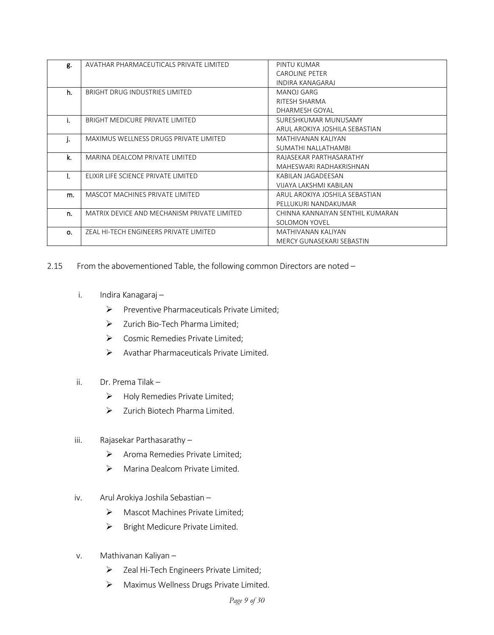| g. | AVATHAR PHARMACEUTICALS PRIVATE LIMITED     | PINTU KUMAR                      |
|----|---------------------------------------------|----------------------------------|
|    |                                             | <b>CAROLINE PETER</b>            |
|    |                                             | INDIRA KANAGARAJ                 |
| h. | BRIGHT DRUG INDUSTRIES LIMITED              | <b>MANOJ GARG</b>                |
|    |                                             | RITESH SHARMA                    |
|    |                                             | DHARMESH GOYAL                   |
| i. | BRIGHT MEDICURE PRIVATE LIMITED             | SURESHKUMAR MUNUSAMY             |
|    |                                             | ARUL AROKIYA JOSHILA SEBASTIAN   |
| j. | MAXIMUS WELLNESS DRUGS PRIVATE LIMITED      | MATHIVANAN KALIYAN               |
|    |                                             | SUMATHI NALLATHAMBI              |
| k. | MARINA DEALCOM PRIVATE LIMITED              | RAJASEKAR PARTHASARATHY          |
|    |                                             | MAHESWARI RADHAKRISHNAN          |
|    | ELIXIR LIFE SCIENCE PRIVATE LIMITED         | KABILAN JAGADEESAN               |
|    |                                             | VIJAYA LAKSHMI KABILAN           |
| m. | MASCOT MACHINES PRIVATE LIMITED             | ARUL AROKIYA JOSHILA SEBASTIAN   |
|    |                                             | PELLUKURI NANDAKUMAR             |
| n. | MATRIX DEVICE AND MECHANISM PRIVATE LIMITED | CHINNA KANNAIYAN SENTHIL KUMARAN |
|    |                                             | SOLOMON YOVEL                    |
| Ο. | ZEAL HI-TECH ENGINEERS PRIVATE LIMITED      | MATHIVANAN KALIYAN               |
|    |                                             | MERCY GUNASEKARI SEBASTIN        |

2.15 From the abovementioned Table, the following common Directors are noted –

- i. Indira Kanagaraj
	- $\triangleright$  Preventive Pharmaceuticals Private Limited;
	- > Zurich Bio-Tech Pharma Limited;
	- ▶ Cosmic Remedies Private Limited;
	- Avathar Pharmaceuticals Private Limited.
- ii. Dr. Prema Tilak
	- $\triangleright$  Holy Remedies Private Limited;
	- $\triangleright$  Zurich Biotech Pharma Limited.

#### iii. Rajasekar Parthasarathy –

- $\triangleright$  Aroma Remedies Private Limited:
- > Marina Dealcom Private Limited.
- iv. Arul Arokiya Joshila Sebastian
	- Mascot Machines Private Limited;
	- $\triangleright$  Bright Medicure Private Limited.
- v. Mathivanan Kaliyan
	- Zeal Hi-Tech Engineers Private Limited;
	- Maximus Wellness Drugs Private Limited.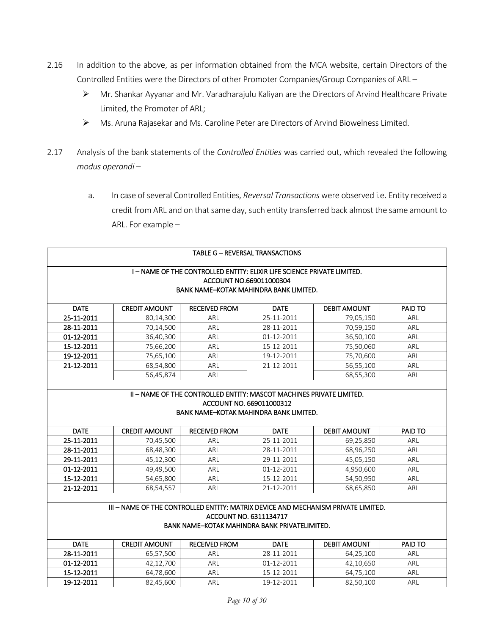- 2.16 In addition to the above, as per information obtained from the MCA website, certain Directors of the Controlled Entities were the Directors of other Promoter Companies/Group Companies of ARL –
	- Mr. Shankar Ayyanar and Mr. Varadharajulu Kaliyan are the Directors of Arvind Healthcare Private Limited, the Promoter of ARL;
	- Ms. Aruna Rajasekar and Ms. Caroline Peter are Directors of Arvind Biowelness Limited.
- 2.17 Analysis of the bank statements of the *Controlled Entities* was carried out, which revealed the following *modus operandi –*
	- a. In case of several Controlled Entities, *Reversal Transactions* were observed i.e. Entity received a credit from ARL and on that same day, such entity transferred back almost the same amount to ARL. For example *–*

| TABLE G - REVERSAL TRANSACTIONS<br>I – NAME OF THE CONTROLLED ENTITY: ELIXIR LIFE SCIENCE PRIVATE LIMITED.<br>ACCOUNT NO.669011000304<br>BANK NAME-KOTAK MAHINDRA BANK LIMITED. |                      |                      |             |                     |                |  |  |
|---------------------------------------------------------------------------------------------------------------------------------------------------------------------------------|----------------------|----------------------|-------------|---------------------|----------------|--|--|
| <b>DATE</b>                                                                                                                                                                     | <b>CREDIT AMOUNT</b> | <b>RECEIVED FROM</b> | <b>DATE</b> | <b>DEBIT AMOUNT</b> | <b>PAID TO</b> |  |  |
| 25-11-2011                                                                                                                                                                      | 80,14,300            | ARL                  | 25-11-2011  | 79,05,150           | ARL            |  |  |
| 28-11-2011                                                                                                                                                                      | 70,14,500            | ARL                  | 28-11-2011  | 70,59,150           | ARL            |  |  |
| 01-12-2011                                                                                                                                                                      | 36,40,300            | ARL                  | 01-12-2011  | 36,50,100           | ARL            |  |  |
| 15-12-2011                                                                                                                                                                      | 75,66,200            | ARL                  | 15-12-2011  | 75,50,060           | ARL            |  |  |
| 19-12-2011                                                                                                                                                                      | 75,65,100            | ARL                  | 19-12-2011  | 75,70,600           | ARL            |  |  |
| 21-12-2011                                                                                                                                                                      | 68,54,800            | ARL                  | 21-12-2011  | 56,55,100           | ARL            |  |  |
| 68,55,300<br>56,45,874<br>ARL<br>ARL                                                                                                                                            |                      |                      |             |                     |                |  |  |
| II - NAME OF THE CONTROLLED ENTITY: MASCOT MACHINES PRIVATE LIMITED.                                                                                                            |                      |                      |             |                     |                |  |  |

| ACCOUNT NO. 669011000312               |  |
|----------------------------------------|--|
| BANK NAME-KOTAK MAHINDRA BANK LIMITED. |  |

| <b>DATE</b> | <b>CREDIT AMOUNT</b> | <b>RECEIVED FROM</b> | <b>DATE</b> | <b>DEBIT AMOUNT</b> | <b>PAID TO</b> |
|-------------|----------------------|----------------------|-------------|---------------------|----------------|
| 25-11-2011  | 70,45,500            | ARL                  | 25-11-2011  | 69,25,850           | ARL            |
| 28-11-2011  | 68,48,300            | ARL                  | 28-11-2011  | 68,96,250           | ARL            |
| 29-11-2011  | 45.12.300            | ARL                  | 29-11-2011  | 45,05,150           | ARL            |
| 01-12-2011  | 49.49.500            | ARL                  | 01-12-2011  | 4.950.600           | ARL            |
| 15-12-2011  | 54,65,800            | ARL                  | 15-12-2011  | 54,50,950           | ARL            |
| 21-12-2011  | 68,54,557            | ARL                  | 21-12-2011  | 68,65,850           | ARL            |

| . III – NAME OF THE CONTROLLED ENTITY: MATRIX DEVICE AND MECHANISM PRIVATE LIMITED. |
|-------------------------------------------------------------------------------------|
| ACCOUNT NO. 6311134717                                                              |
| BANK NAME-KOTAK MAHINDRA BANK PRIVATELIMITED.                                       |

DATE | CREDIT AMOUNT | RECEIVED FROM | DATE | DEBIT AMOUNT | PAID TO **28-11-2011** | 65,57,500 | ARL | 28-11-2011 | 64,25,100 | ARL **01-12-2011** | 42,12,700 | ARL | 01-12-2011 | 42,10,650 | ARL 15-12-2011 64,78,600 ARL 15-12-2011 64,75,100 ARL **19-12-2011** | 82,45,600 | ARL | 19-12-2011 | 82,50,100 | ARL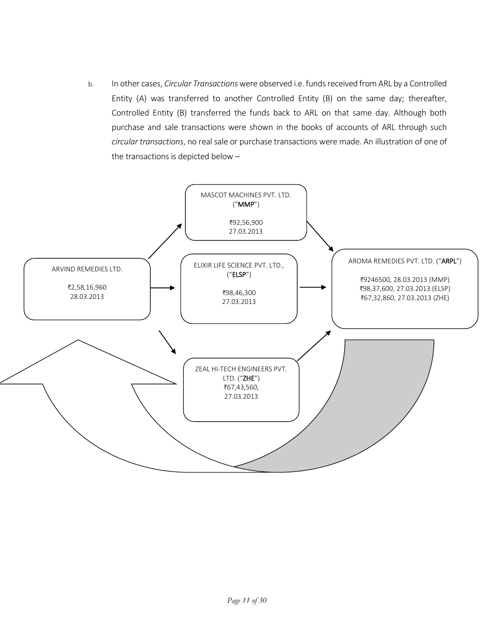b. In other cases, *Circular Transactions*were observed i.e. funds received from ARL by a Controlled Entity (A) was transferred to another Controlled Entity (B) on the same day; thereafter, Controlled Entity (B) transferred the funds back to ARL on that same day. Although both purchase and sale transactions were shown in the books of accounts of ARL through such *circular transactions*, no real sale or purchase transactions were made. An illustration of one of the transactions is depicted below –

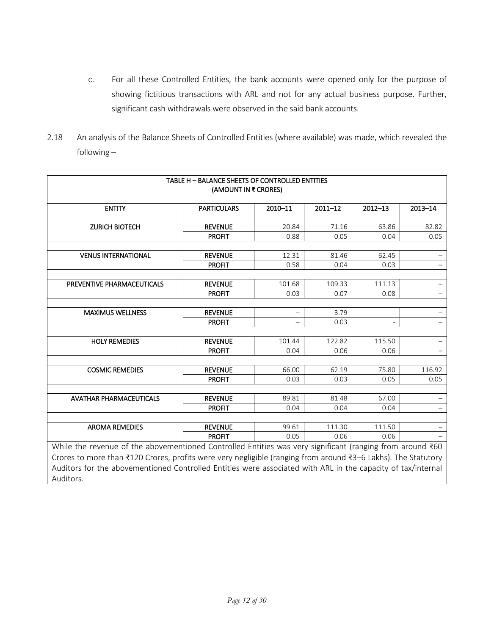- c. For all these Controlled Entities, the bank accounts were opened only for the purpose of showing fictitious transactions with ARL and not for any actual business purpose. Further, significant cash withdrawals were observed in the said bank accounts.
- 2.18 An analysis of the Balance Sheets of Controlled Entities (where available) was made, which revealed the following –

| TABLE H - BALANCE SHEETS OF CONTROLLED ENTITIES<br>(AMOUNT IN ₹ CRORES)                                                                                                                                                                    |                    |         |             |             |                          |
|--------------------------------------------------------------------------------------------------------------------------------------------------------------------------------------------------------------------------------------------|--------------------|---------|-------------|-------------|--------------------------|
| <b>ENTITY</b>                                                                                                                                                                                                                              | <b>PARTICULARS</b> | 2010-11 | $2011 - 12$ | $2012 - 13$ | $2013 - 14$              |
| <b>ZURICH BIOTECH</b>                                                                                                                                                                                                                      | <b>REVENUE</b>     | 20.84   | 71.16       | 63.86       | 82.82                    |
|                                                                                                                                                                                                                                            | <b>PROFIT</b>      | 0.88    | 0.05        | 0.04        | 0.05                     |
|                                                                                                                                                                                                                                            |                    |         |             |             |                          |
| <b>VENUS INTERNATIONAL</b>                                                                                                                                                                                                                 | <b>REVENUE</b>     | 12.31   | 81.46       | 62.45       |                          |
|                                                                                                                                                                                                                                            | <b>PROFIT</b>      | 0.58    | 0.04        | 0.03        |                          |
|                                                                                                                                                                                                                                            |                    |         |             |             |                          |
| PREVENTIVE PHARMACEUTICALS                                                                                                                                                                                                                 | <b>REVENUE</b>     | 101.68  | 109.33      | 111.13      | $\overline{\phantom{0}}$ |
|                                                                                                                                                                                                                                            | <b>PROFIT</b>      | 0.03    | 0.07        | 0.08        | $\equiv$                 |
|                                                                                                                                                                                                                                            |                    |         |             |             |                          |
| <b>MAXIMUS WELLNESS</b>                                                                                                                                                                                                                    | <b>REVENUE</b>     |         | 3.79        |             |                          |
|                                                                                                                                                                                                                                            | <b>PROFIT</b>      |         | 0.03        |             | $\qquad \qquad -$        |
| <b>HOLY REMEDIES</b>                                                                                                                                                                                                                       | <b>REVENUE</b>     | 101.44  | 122.82      | 115.50      | $\qquad \qquad -$        |
|                                                                                                                                                                                                                                            | <b>PROFIT</b>      | 0.04    | 0.06        | 0.06        |                          |
|                                                                                                                                                                                                                                            |                    |         |             |             |                          |
| <b>COSMIC REMEDIES</b>                                                                                                                                                                                                                     | <b>REVENUE</b>     | 66.00   | 62.19       | 75.80       | 116.92                   |
|                                                                                                                                                                                                                                            | <b>PROFIT</b>      | 0.03    | 0.03        | 0.05        | 0.05                     |
|                                                                                                                                                                                                                                            |                    |         |             |             |                          |
| <b>AVATHAR PHARMACEUTICALS</b>                                                                                                                                                                                                             | <b>REVENUE</b>     | 89.81   | 81.48       | 67.00       |                          |
|                                                                                                                                                                                                                                            | <b>PROFIT</b>      | 0.04    | 0.04        | 0.04        |                          |
|                                                                                                                                                                                                                                            |                    |         |             |             |                          |
| <b>AROMA REMEDIES</b>                                                                                                                                                                                                                      | <b>REVENUE</b>     | 99.61   | 111.30      | 111.50      |                          |
|                                                                                                                                                                                                                                            | <b>PROFIT</b>      | 0.05    | 0.06        | 0.06        |                          |
| While the revenue of the abovementioned Controlled Entities was very significant (ranging from around ₹60                                                                                                                                  |                    |         |             |             |                          |
| Crores to more than ₹120 Crores, profits were very negligible (ranging from around ₹3-6 Lakhs). The Statutory<br>Auditors for the abovementioned Controlled Entities were associated with ARL in the capacity of tax/internal<br>Auditors. |                    |         |             |             |                          |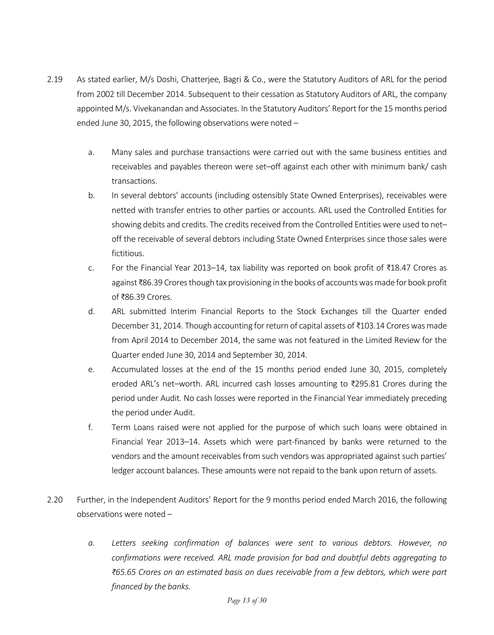- 2.19 As stated earlier, M/s Doshi, Chatterjee, Bagri & Co., were the Statutory Auditors of ARL for the period from 2002 till December 2014. Subsequent to their cessation as Statutory Auditors of ARL, the company appointed M/s. Vivekanandan and Associates. In the Statutory Auditors' Report for the 15 months period ended June 30, 2015, the following observations were noted –
	- a. Many sales and purchase transactions were carried out with the same business entities and receivables and payables thereon were set–off against each other with minimum bank/ cash transactions.
	- b. In several debtors' accounts (including ostensibly State Owned Enterprises), receivables were netted with transfer entries to other parties or accounts. ARL used the Controlled Entities for showing debits and credits. The credits received from the Controlled Entities were used to net– off the receivable of several debtors including State Owned Enterprises since those sales were fictitious.
	- c. For the Financial Year 2013–14, tax liability was reported on book profit of ₹18.47 Crores as against ₹86.39 Crores though tax provisioning in the books of accountswas made for book profit of ₹86.39 Crores.
	- d. ARL submitted Interim Financial Reports to the Stock Exchanges till the Quarter ended December 31, 2014. Though accounting for return of capital assets of ₹103.14 Crores was made from April 2014 to December 2014, the same was not featured in the Limited Review for the Quarter ended June 30, 2014 and September 30, 2014.
	- e. Accumulated losses at the end of the 15 months period ended June 30, 2015, completely eroded ARL's net–worth. ARL incurred cash losses amounting to ₹295.81 Crores during the period under Audit. No cash losses were reported in the Financial Year immediately preceding the period under Audit.
	- f. Term Loans raised were not applied for the purpose of which such loans were obtained in Financial Year 2013–14. Assets which were part-financed by banks were returned to the vendors and the amount receivables from such vendors was appropriated against such parties' ledger account balances. These amounts were not repaid to the bank upon return of assets.
- 2.20 Further, in the Independent Auditors' Report for the 9 months period ended March 2016, the following observations were noted –
	- *a. Letters seeking confirmation of balances were sent to various debtors. However, no confirmations were received. ARL made provision for bad and doubtful debts aggregating to ₹65.65 Crores on an estimated basis on dues receivable from a few debtors, which were part financed by the banks.*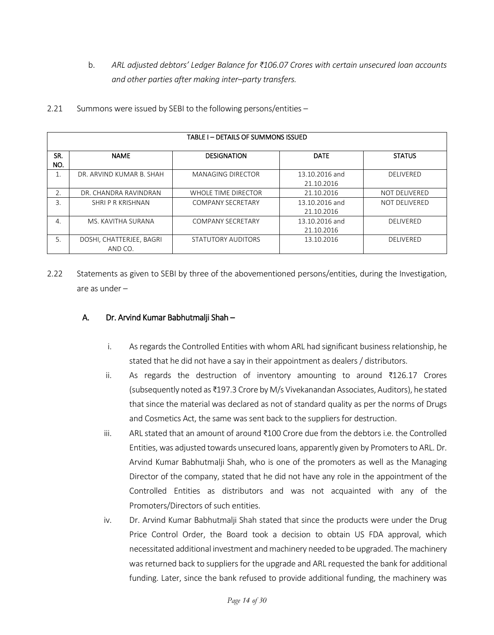b. *ARL adjusted debtors' Ledger Balance for ₹106.07 Crores with certain unsecured loan accounts and other parties after making inter–party transfers.*

| TABLE I - DETAILS OF SUMMONS ISSUED |                                     |                          |                              |                      |  |
|-------------------------------------|-------------------------------------|--------------------------|------------------------------|----------------------|--|
| SR.<br>NO.                          | <b>NAME</b>                         | <b>DESIGNATION</b>       | <b>DATE</b>                  | <b>STATUS</b>        |  |
|                                     | DR. ARVIND KUMAR B. SHAH            | <b>MANAGING DIRECTOR</b> | 13.10.2016 and<br>21.10.2016 | <b>DELIVERED</b>     |  |
| 2.                                  | DR. CHANDRA RAVINDRAN               | WHOLE TIME DIRECTOR      | 21.10.2016                   | <b>NOT DELIVERED</b> |  |
| 3.                                  | SHRIP R KRISHNAN                    | <b>COMPANY SECRETARY</b> | 13.10.2016 and<br>21.10.2016 | <b>NOT DELIVERED</b> |  |
| 4.                                  | MS. KAVITHA SURANA                  | <b>COMPANY SECRETARY</b> | 13.10.2016 and<br>21.10.2016 | <b>DELIVERED</b>     |  |
| 5.                                  | DOSHI, CHATTERJEE, BAGRI<br>AND CO. | STATUTORY AUDITORS       | 13.10.2016                   | <b>DELIVERED</b>     |  |

2.21 Summons were issued by SEBI to the following persons/entities –

2.22 Statements as given to SEBI by three of the abovementioned persons/entities, during the Investigation, are as under –

## A. Dr. Arvind Kumar Babhutmalji Shah –

- i. As regards the Controlled Entities with whom ARL had significant business relationship, he stated that he did not have a say in their appointment as dealers / distributors.
- ii. As regards the destruction of inventory amounting to around ₹126.17 Crores (subsequently noted as ₹197.3 Crore by M/s Vivekanandan Associates, Auditors), he stated that since the material was declared as not of standard quality as per the norms of Drugs and Cosmetics Act, the same was sent back to the suppliers for destruction.
- iii. ARL stated that an amount of around ₹100 Crore due from the debtors i.e. the Controlled Entities, was adjusted towards unsecured loans, apparently given by Promoters to ARL. Dr. Arvind Kumar Babhutmalji Shah, who is one of the promoters as well as the Managing Director of the company, stated that he did not have any role in the appointment of the Controlled Entities as distributors and was not acquainted with any of the Promoters/Directors of such entities.
- iv. Dr. Arvind Kumar Babhutmalji Shah stated that since the products were under the Drug Price Control Order, the Board took a decision to obtain US FDA approval, which necessitated additional investment and machinery needed to be upgraded. The machinery was returned back to suppliers for the upgrade and ARL requested the bank for additional funding. Later, since the bank refused to provide additional funding, the machinery was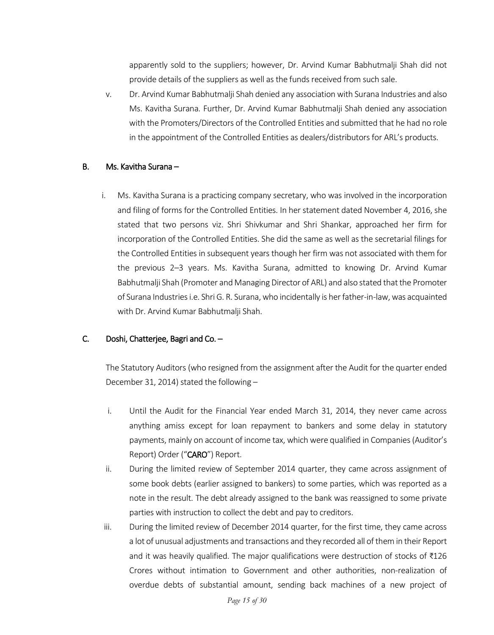apparently sold to the suppliers; however, Dr. Arvind Kumar Babhutmalji Shah did not provide details of the suppliers as well as the funds received from such sale.

v. Dr. Arvind Kumar Babhutmalji Shah denied any association with Surana Industries and also Ms. Kavitha Surana. Further, Dr. Arvind Kumar Babhutmalji Shah denied any association with the Promoters/Directors of the Controlled Entities and submitted that he had no role in the appointment of the Controlled Entities as dealers/distributors for ARL's products.

#### B. Ms. Kavitha Surana –

i. Ms. Kavitha Surana is a practicing company secretary, who was involved in the incorporation and filing of forms for the Controlled Entities. In her statement dated November 4, 2016, she stated that two persons viz. Shri Shivkumar and Shri Shankar, approached her firm for incorporation of the Controlled Entities. She did the same as well as the secretarial filings for the Controlled Entities in subsequent years though her firm was not associated with them for the previous 2–3 years. Ms. Kavitha Surana, admitted to knowing Dr. Arvind Kumar Babhutmalji Shah (Promoter and Managing Director of ARL) and also stated that the Promoter of Surana Industries i.e. Shri G. R. Surana, who incidentally is her father-in-law, was acquainted with Dr. Arvind Kumar Babhutmalji Shah.

### C. Doshi, Chatterjee, Bagri and Co. –

The Statutory Auditors (who resigned from the assignment after the Audit for the quarter ended December 31, 2014) stated the following –

- i. Until the Audit for the Financial Year ended March 31, 2014, they never came across anything amiss except for loan repayment to bankers and some delay in statutory payments, mainly on account of income tax, which were qualified in Companies (Auditor's Report) Order ("CARO") Report.
- ii. During the limited review of September 2014 quarter, they came across assignment of some book debts (earlier assigned to bankers) to some parties, which was reported as a note in the result. The debt already assigned to the bank was reassigned to some private parties with instruction to collect the debt and pay to creditors.
- iii. During the limited review of December 2014 quarter, for the first time, they came across a lot of unusual adjustments and transactions and they recorded all of them in their Report and it was heavily qualified. The major qualifications were destruction of stocks of  $\text{\textdegree{126}}$ Crores without intimation to Government and other authorities, non-realization of overdue debts of substantial amount, sending back machines of a new project of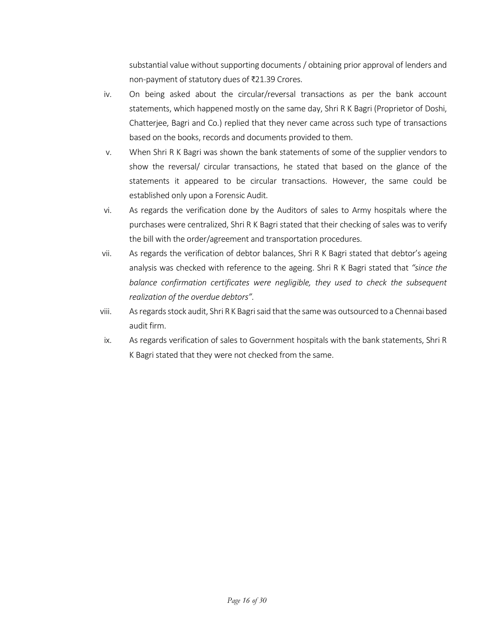substantial value without supporting documents / obtaining prior approval of lenders and non-payment of statutory dues of ₹21.39 Crores.

- iv. On being asked about the circular/reversal transactions as per the bank account statements, which happened mostly on the same day, Shri R K Bagri (Proprietor of Doshi, Chatterjee, Bagri and Co.) replied that they never came across such type of transactions based on the books, records and documents provided to them.
- v. When Shri R K Bagri was shown the bank statements of some of the supplier vendors to show the reversal/ circular transactions, he stated that based on the glance of the statements it appeared to be circular transactions. However, the same could be established only upon a Forensic Audit.
- vi. As regards the verification done by the Auditors of sales to Army hospitals where the purchases were centralized, Shri R K Bagri stated that their checking of sales was to verify the bill with the order/agreement and transportation procedures.
- vii. As regards the verification of debtor balances, Shri R K Bagri stated that debtor's ageing analysis was checked with reference to the ageing. Shri R K Bagri stated that *"since the balance confirmation certificates were negligible, they used to check the subsequent realization of the overdue debtors".*
- viii. As regards stock audit, Shri R K Bagri said that the same was outsourced to a Chennai based audit firm.
- ix. As regards verification of sales to Government hospitals with the bank statements, Shri R K Bagri stated that they were not checked from the same.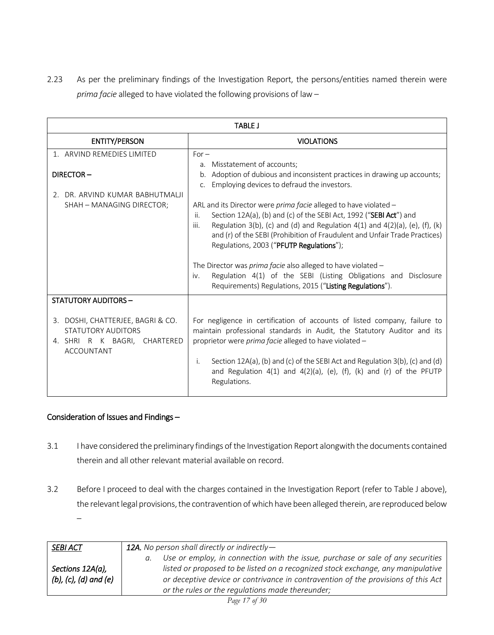2.23 As per the preliminary findings of the Investigation Report, the persons/entities named therein were *prima facie* alleged to have violated the following provisions of law –

| <b>TABLE J</b>                                                                                               |                                                                                                                                                                                                                                                                                                                                                                                                                                                                                                                        |  |  |
|--------------------------------------------------------------------------------------------------------------|------------------------------------------------------------------------------------------------------------------------------------------------------------------------------------------------------------------------------------------------------------------------------------------------------------------------------------------------------------------------------------------------------------------------------------------------------------------------------------------------------------------------|--|--|
| <b>ENTITY/PERSON</b>                                                                                         | <b>VIOLATIONS</b>                                                                                                                                                                                                                                                                                                                                                                                                                                                                                                      |  |  |
| 1. ARVIND REMEDIES LIMITED                                                                                   | $For -$<br>Misstatement of accounts;<br>а.                                                                                                                                                                                                                                                                                                                                                                                                                                                                             |  |  |
| DIRECTOR-                                                                                                    | Adoption of dubious and inconsistent practices in drawing up accounts;<br>$b_{1}$<br>Employing devices to defraud the investors.<br>C <sub>1</sub>                                                                                                                                                                                                                                                                                                                                                                     |  |  |
| 2. DR. ARVIND KUMAR BABHUTMALJI<br>SHAH - MANAGING DIRECTOR;                                                 | ARL and its Director were <i>prima facie</i> alleged to have violated –<br>Section 12A(a), (b) and (c) of the SEBI Act, 1992 ("SEBI Act") and<br>ii.<br>Regulation 3(b), (c) and (d) and Regulation 4(1) and 4(2)(a), (e), (f), (k)<br>iii.<br>and (r) of the SEBI (Prohibition of Fraudulent and Unfair Trade Practices)<br>Regulations, 2003 ("PFUTP Regulations");<br>The Director was <i>prima facie</i> also alleged to have violated -<br>Regulation 4(1) of the SEBI (Listing Obligations and Disclosure<br>iv. |  |  |
|                                                                                                              | Requirements) Regulations, 2015 ("Listing Regulations").                                                                                                                                                                                                                                                                                                                                                                                                                                                               |  |  |
| <b>STATUTORY AUDITORS -</b>                                                                                  |                                                                                                                                                                                                                                                                                                                                                                                                                                                                                                                        |  |  |
| 3. DOSHI, CHATTERJEE, BAGRI & CO.<br>STATUTORY AUDITORS<br>4. SHRI R K BAGRI, CHARTERED<br><b>ACCOUNTANT</b> | For negligence in certification of accounts of listed company, failure to<br>maintain professional standards in Audit, the Statutory Auditor and its<br>proprietor were prima facie alleged to have violated -<br>Section 12A(a), (b) and (c) of the SEBI Act and Regulation 3(b), (c) and (d)<br>j.<br>and Regulation $4(1)$ and $4(2)(a)$ , (e), (f), (k) and (r) of the PFUTP<br>Regulations.                                                                                                                       |  |  |

## Consideration of Issues and Findings –

- 3.1 I have considered the preliminary findings of the Investigation Report alongwith the documents contained therein and all other relevant material available on record.
- 3.2 Before I proceed to deal with the charges contained in the Investigation Report (refer to Table J above), the relevant legal provisions, the contravention of which have been alleged therein, are reproduced below –

| SEBI ACT                                            | <b>12A.</b> No person shall directly or indirectly $-$                                                                                                                                                                                                                                                                      |  |  |
|-----------------------------------------------------|-----------------------------------------------------------------------------------------------------------------------------------------------------------------------------------------------------------------------------------------------------------------------------------------------------------------------------|--|--|
| Sections 12A(a),<br>$(b)$ , $(c)$ , $(d)$ and $(e)$ | Use or employ, in connection with the issue, purchase or sale of any securities<br>$a_{\cdot}$<br>listed or proposed to be listed on a recognized stock exchange, any manipulative<br>or deceptive device or contrivance in contravention of the provisions of this Act<br>or the rules or the regulations made thereunder; |  |  |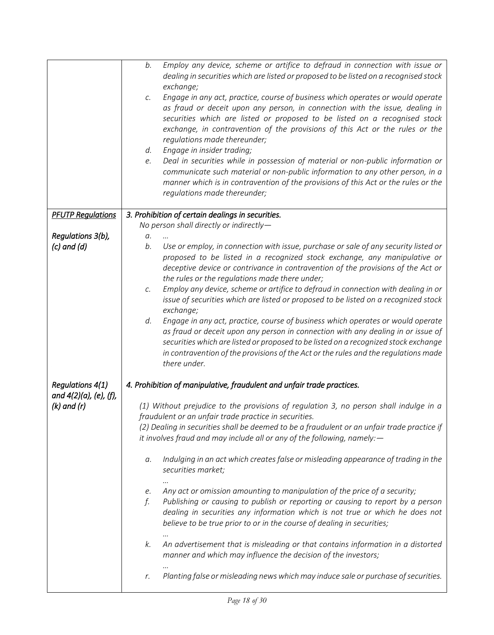|                          | Employ any device, scheme or artifice to defraud in connection with issue or<br>b.<br>dealing in securities which are listed or proposed to be listed on a recognised stock<br>exchange;<br>Engage in any act, practice, course of business which operates or would operate<br>С.<br>as fraud or deceit upon any person, in connection with the issue, dealing in<br>securities which are listed or proposed to be listed on a recognised stock<br>exchange, in contravention of the provisions of this Act or the rules or the<br>regulations made thereunder;<br>Engage in insider trading;<br>d.<br>Deal in securities while in possession of material or non-public information or<br>e.<br>communicate such material or non-public information to any other person, in a<br>manner which is in contravention of the provisions of this Act or the rules or the<br>regulations made thereunder; |
|--------------------------|-----------------------------------------------------------------------------------------------------------------------------------------------------------------------------------------------------------------------------------------------------------------------------------------------------------------------------------------------------------------------------------------------------------------------------------------------------------------------------------------------------------------------------------------------------------------------------------------------------------------------------------------------------------------------------------------------------------------------------------------------------------------------------------------------------------------------------------------------------------------------------------------------------|
| <b>PFUTP Regulations</b> | 3. Prohibition of certain dealings in securities.                                                                                                                                                                                                                                                                                                                                                                                                                                                                                                                                                                                                                                                                                                                                                                                                                                                   |
|                          | No person shall directly or indirectly-                                                                                                                                                                                                                                                                                                                                                                                                                                                                                                                                                                                                                                                                                                                                                                                                                                                             |
| Regulations 3(b),        | a.                                                                                                                                                                                                                                                                                                                                                                                                                                                                                                                                                                                                                                                                                                                                                                                                                                                                                                  |
| $(c)$ and $(d)$          | b.<br>Use or employ, in connection with issue, purchase or sale of any security listed or<br>proposed to be listed in a recognized stock exchange, any manipulative or<br>deceptive device or contrivance in contravention of the provisions of the Act or<br>the rules or the regulations made there under;<br>Employ any device, scheme or artifice to defraud in connection with dealing in or<br>С.<br>issue of securities which are listed or proposed to be listed on a recognized stock<br>exchange;<br>Engage in any act, practice, course of business which operates or would operate<br>d.<br>as fraud or deceit upon any person in connection with any dealing in or issue of<br>securities which are listed or proposed to be listed on a recognized stock exchange<br>in contravention of the provisions of the Act or the rules and the regulations made<br>there under.              |
| <b>Regulations 4(1)</b>  | 4. Prohibition of manipulative, fraudulent and unfair trade practices.                                                                                                                                                                                                                                                                                                                                                                                                                                                                                                                                                                                                                                                                                                                                                                                                                              |
| and 4(2)(a), (e), (f),   |                                                                                                                                                                                                                                                                                                                                                                                                                                                                                                                                                                                                                                                                                                                                                                                                                                                                                                     |
| $(k)$ and $(r)$          | (1) Without prejudice to the provisions of regulation 3, no person shall indulge in a<br>fraudulent or an unfair trade practice in securities.<br>(2) Dealing in securities shall be deemed to be a fraudulent or an unfair trade practice if<br>it involves fraud and may include all or any of the following, namely: $-$                                                                                                                                                                                                                                                                                                                                                                                                                                                                                                                                                                         |
|                          | Indulging in an act which creates false or misleading appearance of trading in the<br>а.<br>securities market;                                                                                                                                                                                                                                                                                                                                                                                                                                                                                                                                                                                                                                                                                                                                                                                      |
|                          | Any act or omission amounting to manipulation of the price of a security;<br>e.<br>f.<br>Publishing or causing to publish or reporting or causing to report by a person<br>dealing in securities any information which is not true or which he does not<br>believe to be true prior to or in the course of dealing in securities;                                                                                                                                                                                                                                                                                                                                                                                                                                                                                                                                                                   |
|                          | An advertisement that is misleading or that contains information in a distorted<br>k.<br>manner and which may influence the decision of the investors;                                                                                                                                                                                                                                                                                                                                                                                                                                                                                                                                                                                                                                                                                                                                              |
|                          | Planting false or misleading news which may induce sale or purchase of securities.<br>r.                                                                                                                                                                                                                                                                                                                                                                                                                                                                                                                                                                                                                                                                                                                                                                                                            |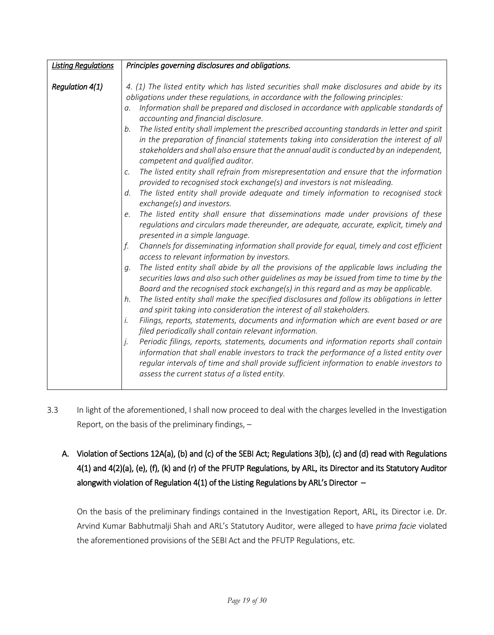| <b>Listing Regulations</b> | Principles governing disclosures and obligations.                                                                                                                                                                                                                                                                                                                                                                                                                                                                                                                                                                                                                                                                                                                                                                                                                                                                                                                                                                                                                                                                                                                                                                                                                                                                                                                                                                                                                                                                                                                                                                                                                                                                                                                                                                                                                                                                                                                                                                                                                                                                                                                                                                                                                                                                   |
|----------------------------|---------------------------------------------------------------------------------------------------------------------------------------------------------------------------------------------------------------------------------------------------------------------------------------------------------------------------------------------------------------------------------------------------------------------------------------------------------------------------------------------------------------------------------------------------------------------------------------------------------------------------------------------------------------------------------------------------------------------------------------------------------------------------------------------------------------------------------------------------------------------------------------------------------------------------------------------------------------------------------------------------------------------------------------------------------------------------------------------------------------------------------------------------------------------------------------------------------------------------------------------------------------------------------------------------------------------------------------------------------------------------------------------------------------------------------------------------------------------------------------------------------------------------------------------------------------------------------------------------------------------------------------------------------------------------------------------------------------------------------------------------------------------------------------------------------------------------------------------------------------------------------------------------------------------------------------------------------------------------------------------------------------------------------------------------------------------------------------------------------------------------------------------------------------------------------------------------------------------------------------------------------------------------------------------------------------------|
| <b>Regulation 4(1)</b>     | 4. (1) The listed entity which has listed securities shall make disclosures and abide by its<br>obligations under these regulations, in accordance with the following principles:<br>Information shall be prepared and disclosed in accordance with applicable standards of<br>а.<br>accounting and financial disclosure.<br>The listed entity shall implement the prescribed accounting standards in letter and spirit<br>b.<br>in the preparation of financial statements taking into consideration the interest of all<br>stakeholders and shall also ensure that the annual audit is conducted by an independent,<br>competent and qualified auditor.<br>The listed entity shall refrain from misrepresentation and ensure that the information<br>C.<br>provided to recognised stock exchange(s) and investors is not misleading.<br>The listed entity shall provide adequate and timely information to recognised stock<br>d.<br>exchange(s) and investors.<br>The listed entity shall ensure that disseminations made under provisions of these<br>e.<br>regulations and circulars made thereunder, are adequate, accurate, explicit, timely and<br>presented in a simple language.<br>f.<br>Channels for disseminating information shall provide for equal, timely and cost efficient<br>access to relevant information by investors.<br>The listed entity shall abide by all the provisions of the applicable laws including the<br>a.<br>securities laws and also such other guidelines as may be issued from time to time by the<br>Board and the recognised stock exchange(s) in this regard and as may be applicable.<br>The listed entity shall make the specified disclosures and follow its obligations in letter<br>h.<br>and spirit taking into consideration the interest of all stakeholders.<br>Filings, reports, statements, documents and information which are event based or are<br>i.<br>filed periodically shall contain relevant information.<br>Periodic filings, reports, statements, documents and information reports shall contain<br>j.<br>information that shall enable investors to track the performance of a listed entity over<br>regular intervals of time and shall provide sufficient information to enable investors to<br>assess the current status of a listed entity. |
|                            |                                                                                                                                                                                                                                                                                                                                                                                                                                                                                                                                                                                                                                                                                                                                                                                                                                                                                                                                                                                                                                                                                                                                                                                                                                                                                                                                                                                                                                                                                                                                                                                                                                                                                                                                                                                                                                                                                                                                                                                                                                                                                                                                                                                                                                                                                                                     |

- 3.3 In light of the aforementioned, I shall now proceed to deal with the charges levelled in the Investigation Report, on the basis of the preliminary findings, –
	- A. Violation of Sections 12A(a), (b) and (c) of the SEBI Act; Regulations 3(b), (c) and (d) read with Regulations 4(1) and 4(2)(a), (e), (f), (k) and (r) of the PFUTP Regulations, by ARL, its Director and its Statutory Auditor alongwith violation of Regulation 4(1) of the Listing Regulations by ARL's Director  $-$

On the basis of the preliminary findings contained in the Investigation Report, ARL, its Director i.e. Dr. Arvind Kumar Babhutmalji Shah and ARL's Statutory Auditor, were alleged to have *prima facie* violated the aforementioned provisions of the SEBI Act and the PFUTP Regulations, etc.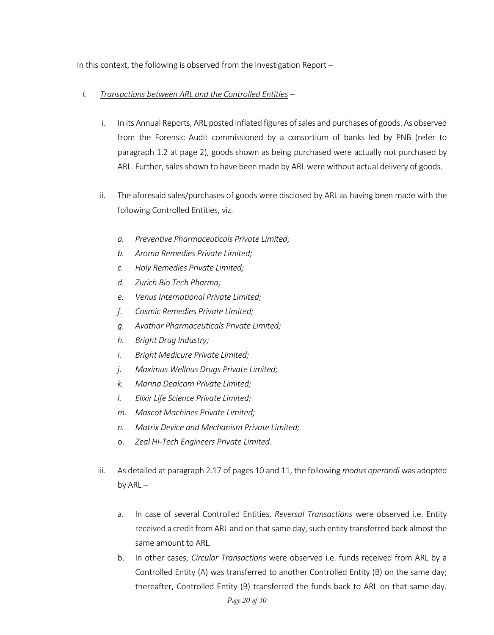In this context, the following is observed from the Investigation Report –

## *I. Transactions between ARL and the Controlled Entities –*

- i. In its Annual Reports, ARL posted inflated figures of sales and purchases of goods. As observed from the Forensic Audit commissioned by a consortium of banks led by PNB (refer to paragraph 1.2 at page 2), goods shown as being purchased were actually not purchased by ARL. Further, sales shown to have been made by ARL were without actual delivery of goods.
- ii. The aforesaid sales/purchases of goods were disclosed by ARL as having been made with the following Controlled Entities, viz.
	- *a. Preventive Pharmaceuticals Private Limited;*
	- *b. Aroma Remedies Private Limited;*
	- *c. Holy Remedies Private Limited;*
	- *d. Zurich Bio Tech Pharma;*
	- *e. Venus International Private Limited;*
	- *f. Cosmic Remedies Private Limited;*
	- *g. Avathar Pharmaceuticals Private Limited;*
	- *h. Bright Drug Industry;*
	- *i. Bright Medicure Private Limited;*
	- *j. Maximus Wellnus Drugs Private Limited;*
	- *k. Marina Dealcom Private Limited;*
	- *l. Elixir Life Science Private Limited;*
	- *m. Mascot Machines Private Limited;*
	- *n. Matrix Device and Mechanism Private Limited;*
	- o. *Zeal Hi-Tech Engineers Private Limited.*
- iii. As detailed at paragraph 2.17 of pages 10 and 11, the following *modus operandi* was adopted by  $ARL$ 
	- a. In case of several Controlled Entities, *Reversal Transactions* were observed i.e. Entity received a credit from ARL and on that same day, such entity transferred back almost the same amount to ARL.
	- b. In other cases, *Circular Transactions* were observed i.e. funds received from ARL by a Controlled Entity (A) was transferred to another Controlled Entity (B) on the same day; thereafter, Controlled Entity (B) transferred the funds back to ARL on that same day.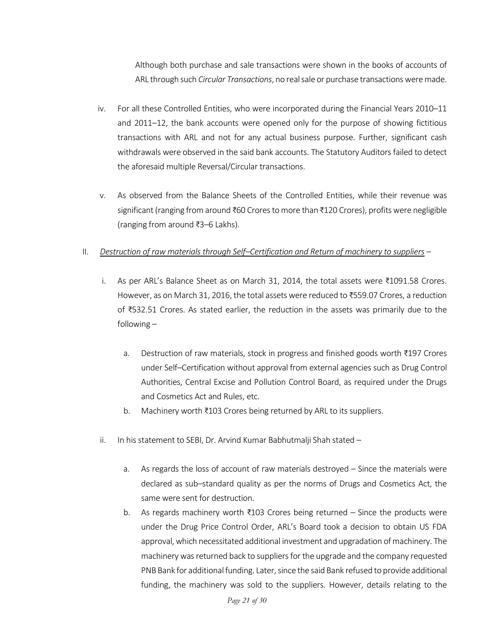Although both purchase and sale transactions were shown in the books of accounts of ARL through such *Circular Transactions*, no real sale or purchase transactions were made.

- iv. For all these Controlled Entities, who were incorporated during the Financial Years 2010–11 and 2011–12, the bank accounts were opened only for the purpose of showing fictitious transactions with ARL and not for any actual business purpose. Further, significant cash withdrawals were observed in the said bank accounts. The Statutory Auditors failed to detect the aforesaid multiple Reversal/Circular transactions.
- v. As observed from the Balance Sheets of the Controlled Entities, while their revenue was significant (ranging from around ₹60 Crores to more than ₹120 Crores), profits were negligible (ranging from around ₹3–6 Lakhs).

#### II. *Destruction of raw materials through Self–Certification and Return of machinery to suppliers –*

- i. As per ARL's Balance Sheet as on March 31, 2014, the total assets were ₹1091.58 Crores. However, as on March 31, 2016, the total assets were reduced to ₹559.07 Crores, a reduction of ₹532.51 Crores. As stated earlier, the reduction in the assets was primarily due to the following –
	- a. Destruction of raw materials, stock in progress and finished goods worth ₹197 Crores under Self–Certification without approval from external agencies such as Drug Control Authorities, Central Excise and Pollution Control Board, as required under the Drugs and Cosmetics Act and Rules, etc.
	- b. Machinery worth ₹103 Crores being returned by ARL to its suppliers.
- ii. In his statement to SEBI, Dr. Arvind Kumar Babhutmalji Shah stated
	- a. As regards the loss of account of raw materials destroyed Since the materials were declared as sub–standard quality as per the norms of Drugs and Cosmetics Act, the same were sent for destruction.
	- b. As regards machinery worth ₹103 Crores being returned Since the products were under the Drug Price Control Order, ARL's Board took a decision to obtain US FDA approval, which necessitated additional investment and upgradation of machinery. The machinery was returned back to suppliers for the upgrade and the company requested PNB Bank for additional funding. Later, since the said Bank refused to provide additional funding, the machinery was sold to the suppliers. However, details relating to the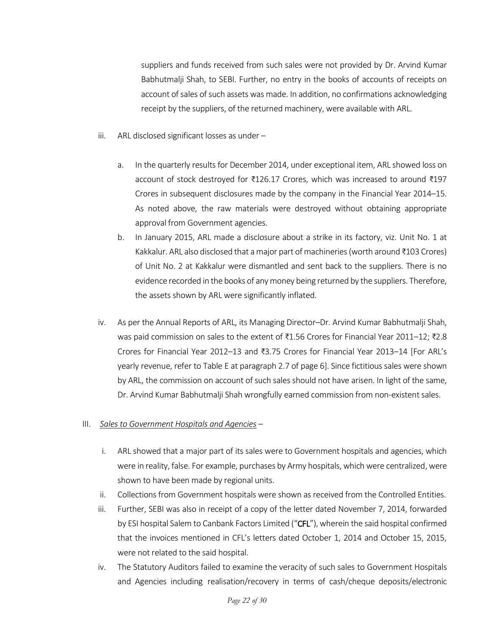suppliers and funds received from such sales were not provided by Dr. Arvind Kumar Babhutmalji Shah, to SEBI. Further, no entry in the books of accounts of receipts on account of sales of such assets was made. In addition, no confirmations acknowledging receipt by the suppliers, of the returned machinery, were available with ARL.

- iii. ARL disclosed significant losses as under
	- a. In the quarterly results for December 2014, under exceptional item, ARL showed loss on account of stock destroyed for ₹126.17 Crores, which was increased to around ₹197 Crores in subsequent disclosures made by the company in the Financial Year 2014–15. As noted above, the raw materials were destroyed without obtaining appropriate approval from Government agencies.
	- b. In January 2015, ARL made a disclosure about a strike in its factory, viz. Unit No. 1 at Kakkalur. ARL also disclosed that a major part of machineries (worth around ₹103 Crores) of Unit No. 2 at Kakkalur were dismantled and sent back to the suppliers. There is no evidence recorded in the books of any money being returned by the suppliers. Therefore, the assets shown by ARL were significantly inflated.
- iv. As per the Annual Reports of ARL, its Managing Director–Dr. Arvind Kumar Babhutmalji Shah, was paid commission on sales to the extent of ₹1.56 Crores for Financial Year 2011–12; ₹2.8 Crores for Financial Year 2012–13 and ₹3.75 Crores for Financial Year 2013–14 [For ARL's yearly revenue, refer to Table E at paragraph 2.7 of page 6]. Since fictitious sales were shown by ARL, the commission on account of such sales should not have arisen. In light of the same, Dr. Arvind Kumar Babhutmalji Shah wrongfully earned commission from non-existent sales.

#### III. *Sales to Government Hospitals and Agencies –*

- i. ARL showed that a major part of its sales were to Government hospitals and agencies, which were in reality, false. For example, purchases by Army hospitals, which were centralized, were shown to have been made by regional units.
- ii. Collections from Government hospitals were shown as received from the Controlled Entities.
- iii. Further, SEBI was also in receipt of a copy of the letter dated November 7, 2014, forwarded by ESI hospital Salem to Canbank Factors Limited ("CFL"), wherein the said hospital confirmed that the invoices mentioned in CFL's letters dated October 1, 2014 and October 15, 2015, were not related to the said hospital.
- iv. The Statutory Auditors failed to examine the veracity of such sales to Government Hospitals and Agencies including realisation/recovery in terms of cash/cheque deposits/electronic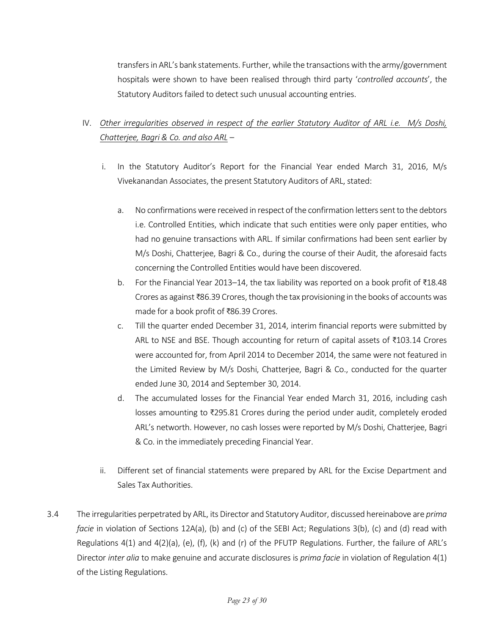transfers in ARL's bank statements. Further, while the transactions with the army/government hospitals were shown to have been realised through third party '*controlled accounts*', the Statutory Auditors failed to detect such unusual accounting entries.

## IV. *Other irregularities observed in respect of the earlier Statutory Auditor of ARL i.e. M/s Doshi, Chatterjee, Bagri & Co. and also ARL* –

- i. In the Statutory Auditor's Report for the Financial Year ended March 31, 2016, M/s Vivekanandan Associates, the present Statutory Auditors of ARL, stated:
	- a. No confirmations were received in respect of the confirmation letters sent to the debtors i.e. Controlled Entities, which indicate that such entities were only paper entities, who had no genuine transactions with ARL. If similar confirmations had been sent earlier by M/s Doshi, Chatterjee, Bagri & Co., during the course of their Audit, the aforesaid facts concerning the Controlled Entities would have been discovered.
	- b. For the Financial Year 2013–14, the tax liability was reported on a book profit of ₹18.48 Crores as against ₹86.39 Crores, though the tax provisioning in the books of accountswas made for a book profit of ₹86.39 Crores.
	- c. Till the quarter ended December 31, 2014, interim financial reports were submitted by ARL to NSE and BSE. Though accounting for return of capital assets of ₹103.14 Crores were accounted for, from April 2014 to December 2014, the same were not featured in the Limited Review by M/s Doshi, Chatterjee, Bagri & Co., conducted for the quarter ended June 30, 2014 and September 30, 2014.
	- d. The accumulated losses for the Financial Year ended March 31, 2016, including cash losses amounting to ₹295.81 Crores during the period under audit, completely eroded ARL's networth. However, no cash losses were reported by M/s Doshi, Chatterjee, Bagri & Co. in the immediately preceding Financial Year.
- ii. Different set of financial statements were prepared by ARL for the Excise Department and Sales Tax Authorities.
- 3.4 The irregularities perpetrated by ARL, its Director and Statutory Auditor, discussed hereinabove are *prima facie* in violation of Sections 12A(a), (b) and (c) of the SEBI Act; Regulations 3(b), (c) and (d) read with Regulations 4(1) and 4(2)(a), (e), (f), (k) and (r) of the PFUTP Regulations. Further, the failure of ARL's Director *inter alia* to make genuine and accurate disclosures is *prima facie* in violation of Regulation 4(1) of the Listing Regulations.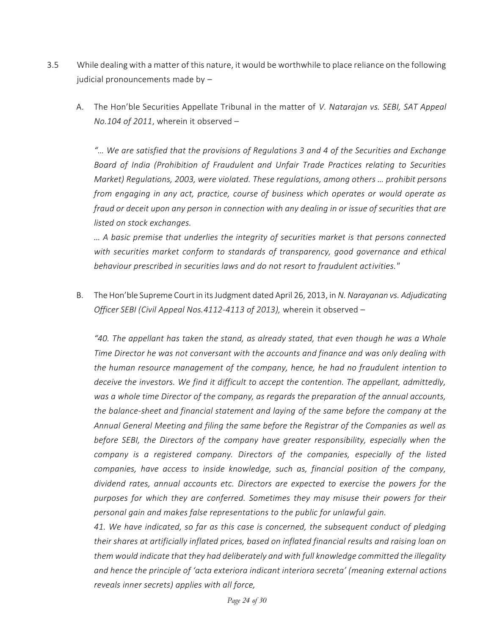- 3.5 While dealing with a matter of this nature, it would be worthwhile to place reliance on the following judicial pronouncements made by –
	- A. The Hon'ble Securities Appellate Tribunal in the matter of *V. Natarajan vs. SEBI, SAT Appeal No.104 of 2011*, wherein it observed –

*"… We are satisfied that the provisions of Regulations 3 and 4 of the Securities and Exchange Board of India (Prohibition of Fraudulent and Unfair Trade Practices relating to Securities Market) Regulations, 2003, were violated. These regulations, among others … prohibit persons from engaging in any act, practice, course of business which operates or would operate as fraud or deceit upon any person in connection with any dealing in or issue of securities that are listed on stock exchanges.* 

*… A basic premise that underlies the integrity of securities market is that persons connected with securities market conform to standards of transparency, good governance and ethical behaviour prescribed in securities laws and do not resort to fraudulent activities."* 

B. The Hon'ble Supreme Court in its Judgment dated April 26, 2013, in *N. Narayanan vs. Adjudicating Officer SEBI (Civil Appeal Nos.4112-4113 of 2013),* wherein it observed –

*"40. The appellant has taken the stand, as already stated, that even though he was a Whole Time Director he was not conversant with the accounts and finance and was only dealing with the human resource management of the company, hence, he had no fraudulent intention to deceive the investors. We find it difficult to accept the contention. The appellant, admittedly, was a whole time Director of the company, as regards the preparation of the annual accounts, the balance-sheet and financial statement and laying of the same before the company at the Annual General Meeting and filing the same before the Registrar of the Companies as well as before SEBI, the Directors of the company have greater responsibility, especially when the company is a registered company. Directors of the companies, especially of the listed companies, have access to inside knowledge, such as, financial position of the company, dividend rates, annual accounts etc. Directors are expected to exercise the powers for the purposes for which they are conferred. Sometimes they may misuse their powers for their personal gain and makes false representations to the public for unlawful gain.* 

*41. We have indicated, so far as this case is concerned, the subsequent conduct of pledging their shares at artificially inflated prices, based on inflated financial results and raising loan on them would indicate that they had deliberately and with full knowledge committed the illegality and hence the principle of 'acta exteriora indicant interiora secreta' (meaning external actions reveals inner secrets) applies with all force,*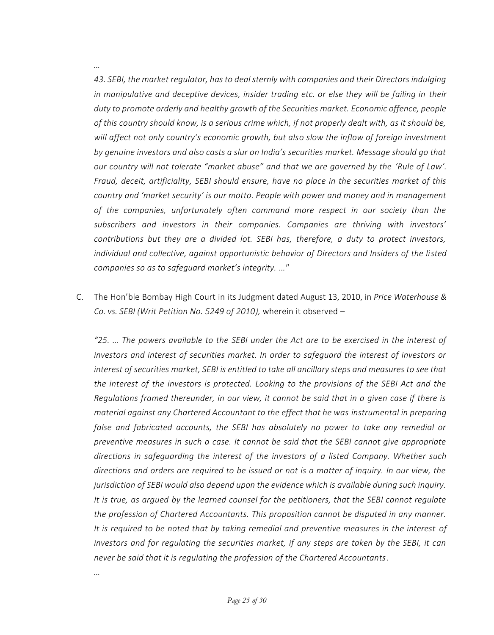*43. SEBI, the market regulator, has to deal sternly with companies and their Directors indulging in manipulative and deceptive devices, insider trading etc. or else they will be failing in their duty to promote orderly and healthy growth of the Securities market. Economic offence, people of this country should know, is a serious crime which, if not properly dealt with, as it should be, will affect not only country's economic growth, but also slow the inflow of foreign investment by genuine investors and also casts a slur on India's securities market. Message should go that our country will not tolerate "market abuse" and that we are governed by the 'Rule of Law'. Fraud, deceit, artificiality, SEBI should ensure, have no place in the securities market of this country and 'market security' is our motto. People with power and money and in management of the companies, unfortunately often command more respect in our society than the subscribers and investors in their companies. Companies are thriving with investors' contributions but they are a divided lot. SEBI has, therefore, a duty to protect investors, individual and collective, against opportunistic behavior of Directors and Insiders of the listed companies so as to safeguard market's integrity. …"* 

C. The Hon'ble Bombay High Court in its Judgment dated August 13, 2010, in *Price Waterhouse & Co. vs. SEBI (Writ Petition No. 5249 of 2010),* wherein it observed –

*"25. … The powers available to the SEBI under the Act are to be exercised in the interest of investors and interest of securities market. In order to safeguard the interest of investors or interest of securities market, SEBI is entitled to take all ancillary steps and measures to see that the interest of the investors is protected. Looking to the provisions of the SEBI Act and the Regulations framed thereunder, in our view, it cannot be said that in a given case if there is material against any Chartered Accountant to the effect that he was instrumental in preparing false and fabricated accounts, the SEBI has absolutely no power to take any remedial or preventive measures in such a case. It cannot be said that the SEBI cannot give appropriate directions in safeguarding the interest of the investors of a listed Company. Whether such directions and orders are required to be issued or not is a matter of inquiry. In our view, the jurisdiction of SEBI would also depend upon the evidence which is available during such inquiry. It is true, as argued by the learned counsel for the petitioners, that the SEBI cannot regulate the profession of Chartered Accountants. This proposition cannot be disputed in any manner. It is required to be noted that by taking remedial and preventive measures in the interest of investors and for regulating the securities market, if any steps are taken by the SEBI, it can never be said that it is regulating the profession of the Chartered Accountants.*

*…*

*…*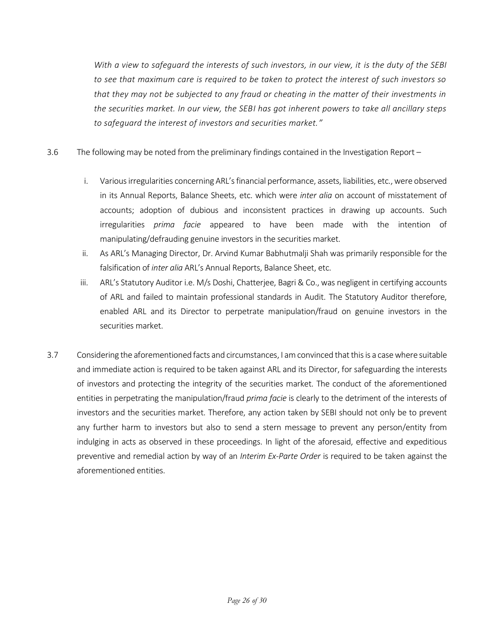*With a view to safeguard the interests of such investors, in our view, it is the duty of the SEBI to see that maximum care is required to be taken to protect the interest of such investors so that they may not be subjected to any fraud or cheating in the matter of their investments in the securities market. In our view, the SEBI has got inherent powers to take all ancillary steps to safeguard the interest of investors and securities market."*

- 3.6 The following may be noted from the preliminary findings contained in the Investigation Report
	- i. Various irregularities concerning ARL's financial performance, assets, liabilities, etc., were observed in its Annual Reports, Balance Sheets, etc. which were *inter alia* on account of misstatement of accounts; adoption of dubious and inconsistent practices in drawing up accounts. Such irregularities *prima facie* appeared to have been made with the intention of manipulating/defrauding genuine investors in the securities market.
	- ii. As ARL's Managing Director, Dr. Arvind Kumar Babhutmalji Shah was primarily responsible for the falsification of *inter alia* ARL's Annual Reports, Balance Sheet, etc.
	- iii. ARL's Statutory Auditor i.e. M/s Doshi, Chatterjee, Bagri & Co., was negligent in certifying accounts of ARL and failed to maintain professional standards in Audit. The Statutory Auditor therefore, enabled ARL and its Director to perpetrate manipulation/fraud on genuine investors in the securities market.
- 3.7 Considering the aforementioned facts and circumstances, I am convinced that this is a case where suitable and immediate action is required to be taken against ARL and its Director, for safeguarding the interests of investors and protecting the integrity of the securities market. The conduct of the aforementioned entities in perpetrating the manipulation/fraud *prima facie* is clearly to the detriment of the interests of investors and the securities market. Therefore, any action taken by SEBI should not only be to prevent any further harm to investors but also to send a stern message to prevent any person/entity from indulging in acts as observed in these proceedings. In light of the aforesaid, effective and expeditious preventive and remedial action by way of an *Interim Ex-Parte Order* is required to be taken against the aforementioned entities.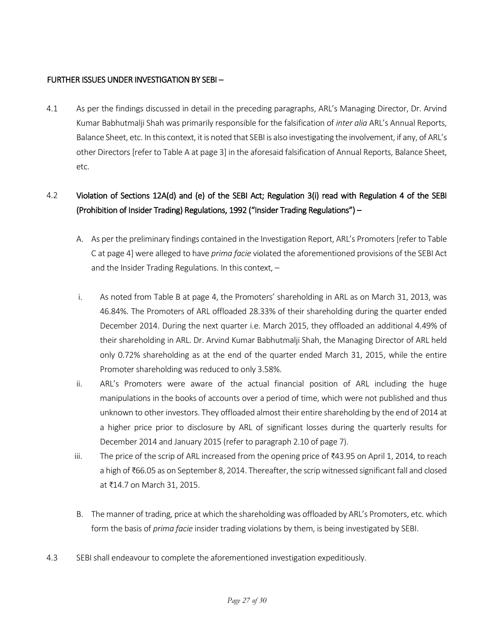## FURTHER ISSUES UNDER INVESTIGATION BY SEBI –

4.1 As per the findings discussed in detail in the preceding paragraphs, ARL's Managing Director, Dr. Arvind Kumar Babhutmalji Shah was primarily responsible for the falsification of *inter alia* ARL's Annual Reports, Balance Sheet, etc. In this context, it is noted that SEBI is also investigating the involvement, if any, of ARL's other Directors [refer to Table A at page 3] in the aforesaid falsification of Annual Reports, Balance Sheet, etc.

# 4.2 Violation of Sections 12A(d) and (e) of the SEBI Act; Regulation 3(i) read with Regulation 4 of the SEBI (Prohibition of Insider Trading) Regulations, 1992 ("Insider Trading Regulations") –

- A. As per the preliminary findings contained in the Investigation Report, ARL's Promoters [refer to Table C at page 4] were alleged to have *prima facie* violated the aforementioned provisions of the SEBI Act and the Insider Trading Regulations. In this context, –
- i. As noted from Table B at page 4, the Promoters' shareholding in ARL as on March 31, 2013, was 46.84%. The Promoters of ARL offloaded 28.33% of their shareholding during the quarter ended December 2014. During the next quarter i.e. March 2015, they offloaded an additional 4.49% of their shareholding in ARL. Dr. Arvind Kumar Babhutmalji Shah, the Managing Director of ARL held only 0.72% shareholding as at the end of the quarter ended March 31, 2015, while the entire Promoter shareholding was reduced to only 3.58%.
- ii. ARL's Promoters were aware of the actual financial position of ARL including the huge manipulations in the books of accounts over a period of time, which were not published and thus unknown to other investors. They offloaded almost their entire shareholding by the end of 2014 at a higher price prior to disclosure by ARL of significant losses during the quarterly results for December 2014 and January 2015 (refer to paragraph 2.10 of page 7).
- iii. The price of the scrip of ARL increased from the opening price of ₹43.95 on April 1, 2014, to reach a high of ₹66.05 as on September 8, 2014. Thereafter, the scrip witnessed significant fall and closed at ₹14.7 on March 31, 2015.
- B. The manner of trading, price at which the shareholding was offloaded by ARL's Promoters, etc. which form the basis of *prima facie* insider trading violations by them, is being investigated by SEBI.
- 4.3 SEBI shall endeavour to complete the aforementioned investigation expeditiously.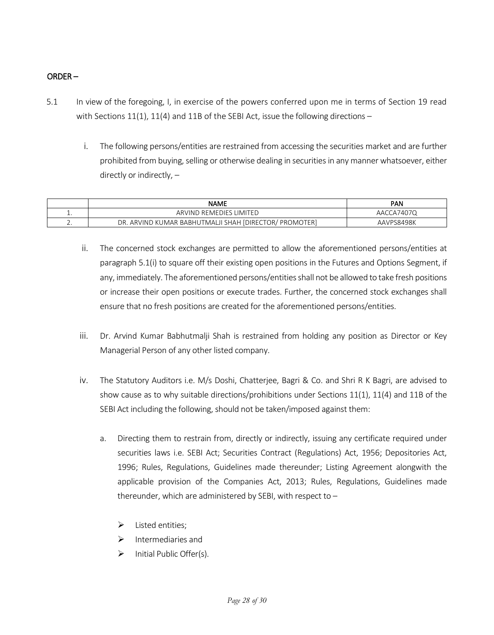## ORDER –

- 5.1 In view of the foregoing, I, in exercise of the powers conferred upon me in terms of Section 19 read with Sections  $11(1)$ ,  $11(4)$  and  $11B$  of the SEBI Act, issue the following directions –
	- i. The following persons/entities are restrained from accessing the securities market and are further prohibited from buying, selling or otherwise dealing in securities in any manner whatsoever, either directly or indirectly, –

|          | <b>NAME</b>                                                                 | <b>PAN</b>    |
|----------|-----------------------------------------------------------------------------|---------------|
|          | ARVIND REMEDIES LIMITED                                                     | 74070،<br>AAC |
| <u>.</u> | [DIRECTOR/<br>' PROMOTER`<br>TMALJI<br>SHAH<br>. ARVIND KUMAR BABHUT<br>DR. | AAVPS8498K    |

- ii. The concerned stock exchanges are permitted to allow the aforementioned persons/entities at paragraph 5.1(i) to square off their existing open positions in the Futures and Options Segment, if any, immediately. The aforementioned persons/entities shall not be allowed to take fresh positions or increase their open positions or execute trades. Further, the concerned stock exchanges shall ensure that no fresh positions are created for the aforementioned persons/entities.
- iii. Dr. Arvind Kumar Babhutmalji Shah is restrained from holding any position as Director or Key Managerial Person of any other listed company.
- iv. The Statutory Auditors i.e. M/s Doshi, Chatterjee, Bagri & Co. and Shri R K Bagri, are advised to show cause as to why suitable directions/prohibitions under Sections 11(1), 11(4) and 11B of the SEBI Act including the following, should not be taken/imposed against them:
	- a. Directing them to restrain from, directly or indirectly, issuing any certificate required under securities laws i.e. SEBI Act; Securities Contract (Regulations) Act, 1956; Depositories Act, 1996; Rules, Regulations, Guidelines made thereunder; Listing Agreement alongwith the applicable provision of the Companies Act, 2013; Rules, Regulations, Guidelines made thereunder, which are administered by SEBI, with respect to –
		- $\triangleright$  Listed entities:
		- $\triangleright$  Intermediaries and
		- $\triangleright$  Initial Public Offer(s).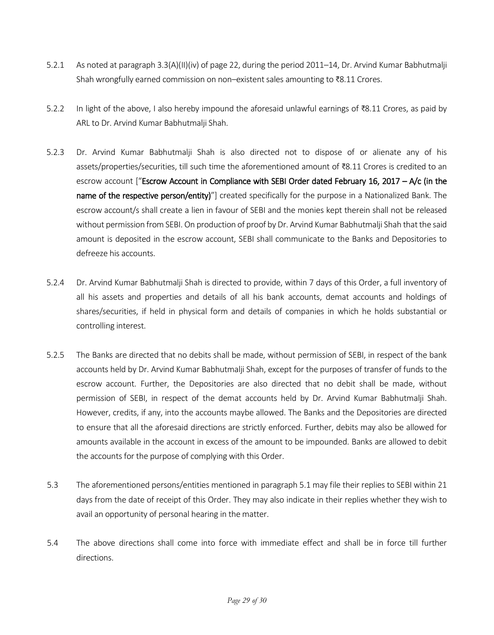- 5.2.1 As noted at paragraph 3.3(A)(II)(iv) of page 22, during the period 2011–14, Dr. Arvind Kumar Babhutmalji Shah wrongfully earned commission on non–existent sales amounting to ₹8.11 Crores.
- 5.2.2 In light of the above, I also hereby impound the aforesaid unlawful earnings of ₹8.11 Crores, as paid by ARL to Dr. Arvind Kumar Babhutmalji Shah.
- 5.2.3 Dr. Arvind Kumar Babhutmalji Shah is also directed not to dispose of or alienate any of his assets/properties/securities, till such time the aforementioned amount of ₹8.11 Crores is credited to an escrow account ["Escrow Account in Compliance with SEBI Order dated February 16, 2017 – A/c (in the name of the respective person/entity)"] created specifically for the purpose in a Nationalized Bank. The escrow account/s shall create a lien in favour of SEBI and the monies kept therein shall not be released without permission from SEBI. On production of proof by Dr. Arvind Kumar Babhutmalji Shah that the said amount is deposited in the escrow account, SEBI shall communicate to the Banks and Depositories to defreeze his accounts.
- 5.2.4 Dr. Arvind Kumar Babhutmalji Shah is directed to provide, within 7 days of this Order, a full inventory of all his assets and properties and details of all his bank accounts, demat accounts and holdings of shares/securities, if held in physical form and details of companies in which he holds substantial or controlling interest.
- 5.2.5 The Banks are directed that no debits shall be made, without permission of SEBI, in respect of the bank accounts held by Dr. Arvind Kumar Babhutmalji Shah, except for the purposes of transfer of funds to the escrow account. Further, the Depositories are also directed that no debit shall be made, without permission of SEBI, in respect of the demat accounts held by Dr. Arvind Kumar Babhutmalji Shah. However, credits, if any, into the accounts maybe allowed. The Banks and the Depositories are directed to ensure that all the aforesaid directions are strictly enforced. Further, debits may also be allowed for amounts available in the account in excess of the amount to be impounded. Banks are allowed to debit the accounts for the purpose of complying with this Order.
- 5.3 The aforementioned persons/entities mentioned in paragraph 5.1 may file their replies to SEBI within 21 days from the date of receipt of this Order. They may also indicate in their replies whether they wish to avail an opportunity of personal hearing in the matter.
- 5.4 The above directions shall come into force with immediate effect and shall be in force till further directions.